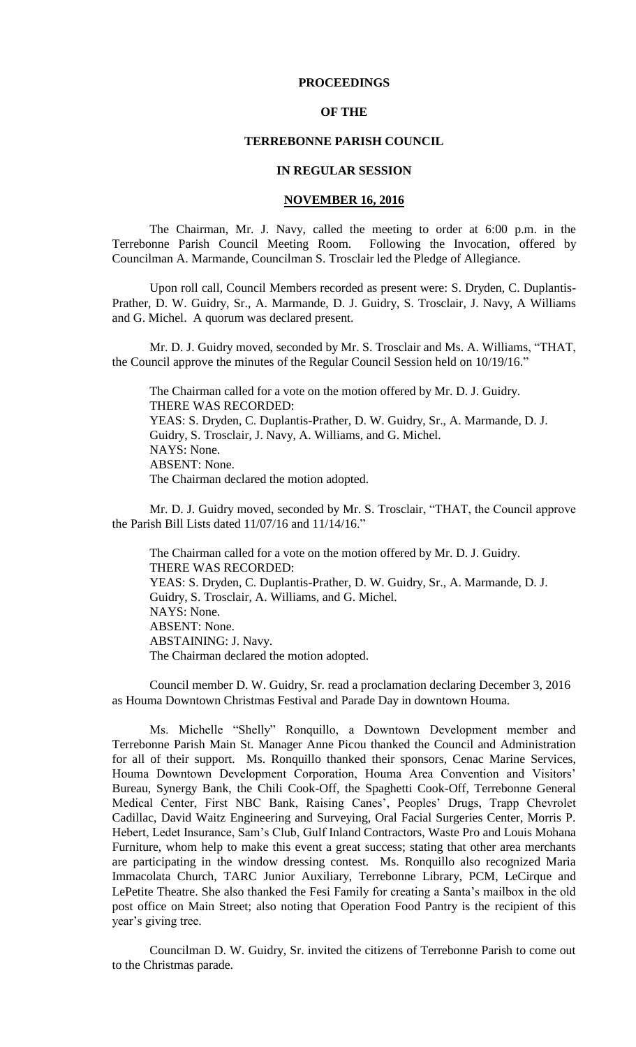# **PROCEEDINGS**

## **OF THE**

# **TERREBONNE PARISH COUNCIL**

#### **IN REGULAR SESSION**

## **NOVEMBER 16, 2016**

The Chairman, Mr. J. Navy, called the meeting to order at 6:00 p.m. in the Terrebonne Parish Council Meeting Room. Following the Invocation, offered by Councilman A. Marmande, Councilman S. Trosclair led the Pledge of Allegiance.

Upon roll call, Council Members recorded as present were: S. Dryden, C. Duplantis-Prather, D. W. Guidry, Sr., A. Marmande, D. J. Guidry, S. Trosclair, J. Navy, A Williams and G. Michel. A quorum was declared present.

Mr. D. J. Guidry moved, seconded by Mr. S. Trosclair and Ms. A. Williams, "THAT, the Council approve the minutes of the Regular Council Session held on 10/19/16."

The Chairman called for a vote on the motion offered by Mr. D. J. Guidry. THERE WAS RECORDED: YEAS: S. Dryden, C. Duplantis-Prather, D. W. Guidry, Sr., A. Marmande, D. J. Guidry, S. Trosclair, J. Navy, A. Williams, and G. Michel. NAYS: None. ABSENT: None. The Chairman declared the motion adopted.

Mr. D. J. Guidry moved, seconded by Mr. S. Trosclair, "THAT, the Council approve the Parish Bill Lists dated 11/07/16 and 11/14/16."

The Chairman called for a vote on the motion offered by Mr. D. J. Guidry. THERE WAS RECORDED: YEAS: S. Dryden, C. Duplantis-Prather, D. W. Guidry, Sr., A. Marmande, D. J. Guidry, S. Trosclair, A. Williams, and G. Michel. NAYS: None. ABSENT: None. ABSTAINING: J. Navy. The Chairman declared the motion adopted.

Council member D. W. Guidry, Sr. read a proclamation declaring December 3, 2016 as Houma Downtown Christmas Festival and Parade Day in downtown Houma.

Ms. Michelle "Shelly" Ronquillo, a Downtown Development member and Terrebonne Parish Main St. Manager Anne Picou thanked the Council and Administration for all of their support. Ms. Ronquillo thanked their sponsors, Cenac Marine Services, Houma Downtown Development Corporation, Houma Area Convention and Visitors' Bureau, Synergy Bank, the Chili Cook-Off, the Spaghetti Cook-Off, Terrebonne General Medical Center, First NBC Bank, Raising Canes', Peoples' Drugs, Trapp Chevrolet Cadillac, David Waitz Engineering and Surveying, Oral Facial Surgeries Center, Morris P. Hebert, Ledet Insurance, Sam's Club, Gulf Inland Contractors, Waste Pro and Louis Mohana Furniture, whom help to make this event a great success; stating that other area merchants are participating in the window dressing contest. Ms. Ronquillo also recognized Maria Immacolata Church, TARC Junior Auxiliary, Terrebonne Library, PCM, LeCirque and LePetite Theatre. She also thanked the Fesi Family for creating a Santa's mailbox in the old post office on Main Street; also noting that Operation Food Pantry is the recipient of this year's giving tree.

Councilman D. W. Guidry, Sr. invited the citizens of Terrebonne Parish to come out to the Christmas parade.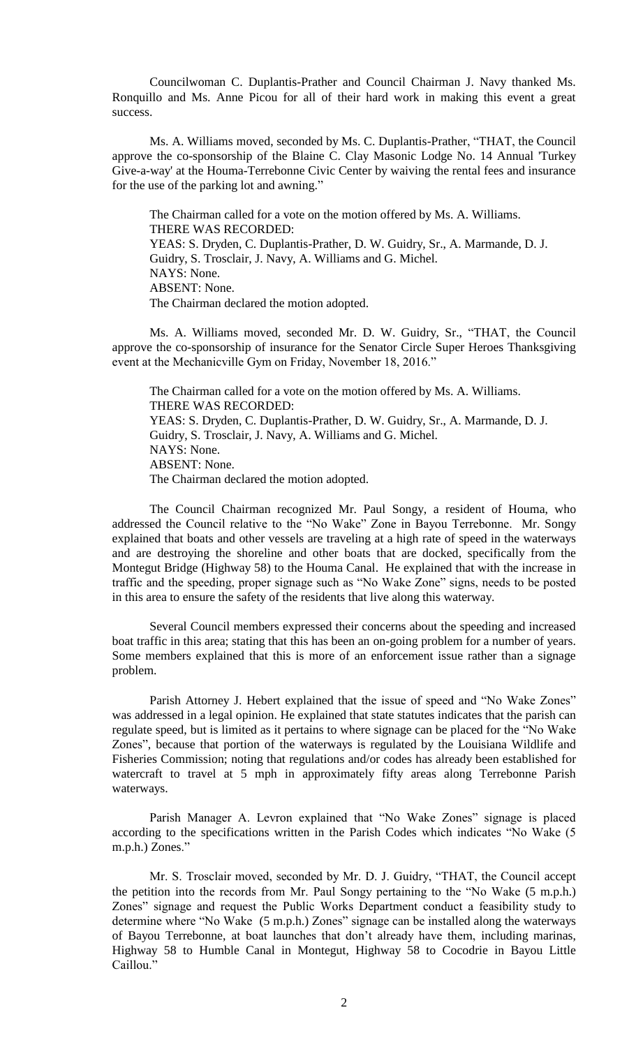Councilwoman C. Duplantis-Prather and Council Chairman J. Navy thanked Ms. Ronquillo and Ms. Anne Picou for all of their hard work in making this event a great success.

Ms. A. Williams moved, seconded by Ms. C. Duplantis-Prather, "THAT, the Council approve the co-sponsorship of the Blaine C. Clay Masonic Lodge No. 14 Annual 'Turkey Give-a-way' at the Houma-Terrebonne Civic Center by waiving the rental fees and insurance for the use of the parking lot and awning."

The Chairman called for a vote on the motion offered by Ms. A. Williams. THERE WAS RECORDED: YEAS: S. Dryden, C. Duplantis-Prather, D. W. Guidry, Sr., A. Marmande, D. J. Guidry, S. Trosclair, J. Navy, A. Williams and G. Michel. NAYS: None. ABSENT: None. The Chairman declared the motion adopted.

Ms. A. Williams moved, seconded Mr. D. W. Guidry, Sr., "THAT, the Council approve the co-sponsorship of insurance for the Senator Circle Super Heroes Thanksgiving event at the Mechanicville Gym on Friday, November 18, 2016."

The Chairman called for a vote on the motion offered by Ms. A. Williams. THERE WAS RECORDED: YEAS: S. Dryden, C. Duplantis-Prather, D. W. Guidry, Sr., A. Marmande, D. J. Guidry, S. Trosclair, J. Navy, A. Williams and G. Michel. NAYS: None. ABSENT: None. The Chairman declared the motion adopted.

The Council Chairman recognized Mr. Paul Songy, a resident of Houma, who addressed the Council relative to the "No Wake" Zone in Bayou Terrebonne. Mr. Songy explained that boats and other vessels are traveling at a high rate of speed in the waterways and are destroying the shoreline and other boats that are docked, specifically from the Montegut Bridge (Highway 58) to the Houma Canal. He explained that with the increase in traffic and the speeding, proper signage such as "No Wake Zone" signs, needs to be posted in this area to ensure the safety of the residents that live along this waterway.

Several Council members expressed their concerns about the speeding and increased boat traffic in this area; stating that this has been an on-going problem for a number of years. Some members explained that this is more of an enforcement issue rather than a signage problem.

Parish Attorney J. Hebert explained that the issue of speed and "No Wake Zones" was addressed in a legal opinion. He explained that state statutes indicates that the parish can regulate speed, but is limited as it pertains to where signage can be placed for the "No Wake Zones", because that portion of the waterways is regulated by the Louisiana Wildlife and Fisheries Commission; noting that regulations and/or codes has already been established for watercraft to travel at 5 mph in approximately fifty areas along Terrebonne Parish waterways.

Parish Manager A. Levron explained that "No Wake Zones" signage is placed according to the specifications written in the Parish Codes which indicates "No Wake (5 m.p.h.) Zones."

Mr. S. Trosclair moved, seconded by Mr. D. J. Guidry, "THAT, the Council accept the petition into the records from Mr. Paul Songy pertaining to the "No Wake (5 m.p.h.) Zones" signage and request the Public Works Department conduct a feasibility study to determine where "No Wake (5 m.p.h.) Zones" signage can be installed along the waterways of Bayou Terrebonne, at boat launches that don't already have them, including marinas, Highway 58 to Humble Canal in Montegut, Highway 58 to Cocodrie in Bayou Little Caillou."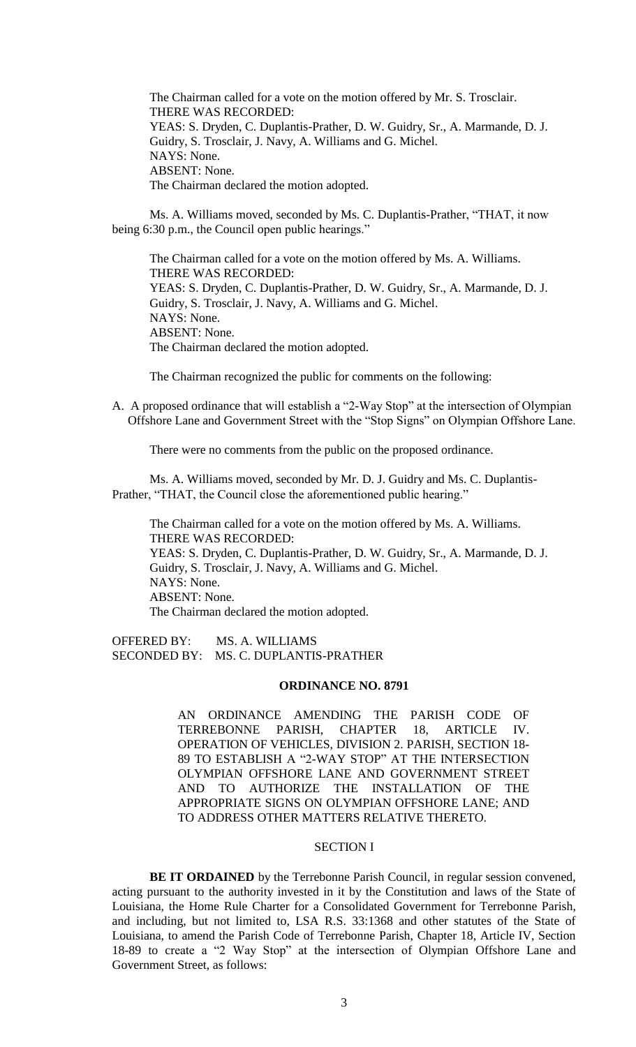The Chairman called for a vote on the motion offered by Mr. S. Trosclair. THERE WAS RECORDED: YEAS: S. Dryden, C. Duplantis-Prather, D. W. Guidry, Sr., A. Marmande, D. J. Guidry, S. Trosclair, J. Navy, A. Williams and G. Michel. NAYS: None. ABSENT: None. The Chairman declared the motion adopted.

Ms. A. Williams moved, seconded by Ms. C. Duplantis-Prather, "THAT, it now being 6:30 p.m., the Council open public hearings."

The Chairman called for a vote on the motion offered by Ms. A. Williams. THERE WAS RECORDED: YEAS: S. Dryden, C. Duplantis-Prather, D. W. Guidry, Sr., A. Marmande, D. J. Guidry, S. Trosclair, J. Navy, A. Williams and G. Michel. NAYS: None. ABSENT: None. The Chairman declared the motion adopted.

The Chairman recognized the public for comments on the following:

A. A proposed ordinance that will establish a "2-Way Stop" at the intersection of Olympian Offshore Lane and Government Street with the "Stop Signs" on Olympian Offshore Lane.

There were no comments from the public on the proposed ordinance.

Ms. A. Williams moved, seconded by Mr. D. J. Guidry and Ms. C. Duplantis-Prather, "THAT, the Council close the aforementioned public hearing."

The Chairman called for a vote on the motion offered by Ms. A. Williams. THERE WAS RECORDED: YEAS: S. Dryden, C. Duplantis-Prather, D. W. Guidry, Sr., A. Marmande, D. J. Guidry, S. Trosclair, J. Navy, A. Williams and G. Michel. NAYS: None. ABSENT: None. The Chairman declared the motion adopted.

OFFERED BY: MS. A. WILLIAMS SECONDED BY: MS. C. DUPLANTIS-PRATHER

#### **ORDINANCE NO. 8791**

AN ORDINANCE AMENDING THE PARISH CODE OF TERREBONNE PARISH, CHAPTER 18, ARTICLE IV. OPERATION OF VEHICLES, DIVISION 2. PARISH, SECTION 18- 89 TO ESTABLISH A "2-WAY STOP" AT THE INTERSECTION OLYMPIAN OFFSHORE LANE AND GOVERNMENT STREET AND TO AUTHORIZE THE INSTALLATION OF THE APPROPRIATE SIGNS ON OLYMPIAN OFFSHORE LANE; AND TO ADDRESS OTHER MATTERS RELATIVE THERETO.

# SECTION I

**BE IT ORDAINED** by the Terrebonne Parish Council, in regular session convened, acting pursuant to the authority invested in it by the Constitution and laws of the State of Louisiana, the Home Rule Charter for a Consolidated Government for Terrebonne Parish, and including, but not limited to, LSA R.S. 33:1368 and other statutes of the State of Louisiana, to amend the Parish Code of Terrebonne Parish, Chapter 18, Article IV, Section 18-89 to create a "2 Way Stop" at the intersection of Olympian Offshore Lane and Government Street, as follows: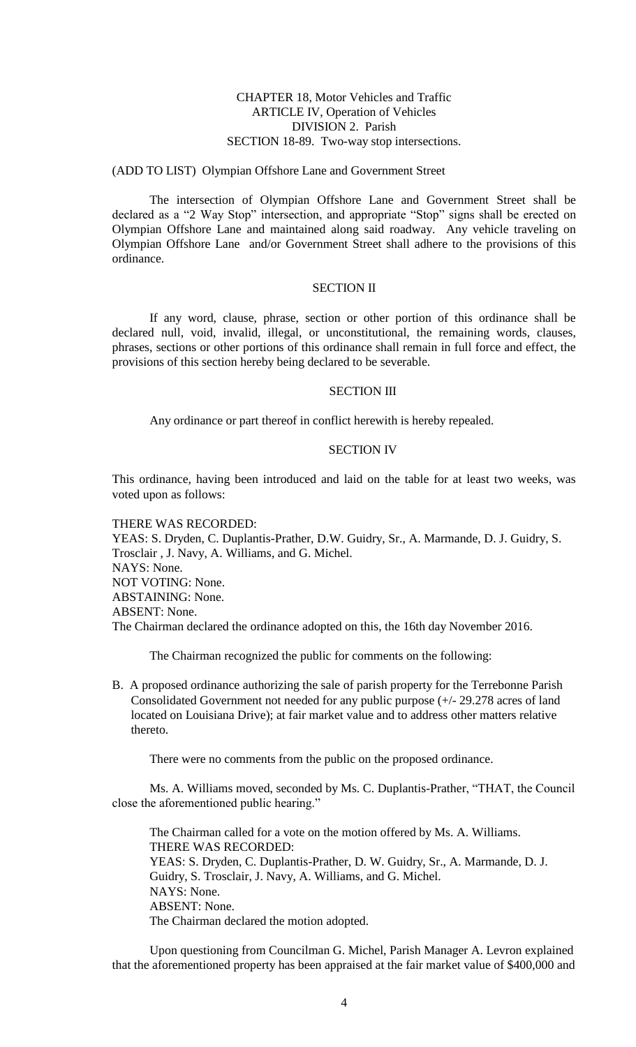# CHAPTER 18, Motor Vehicles and Traffic ARTICLE IV, Operation of Vehicles DIVISION 2. Parish SECTION 18-89. Two-way stop intersections.

#### (ADD TO LIST) Olympian Offshore Lane and Government Street

The intersection of Olympian Offshore Lane and Government Street shall be declared as a "2 Way Stop" intersection, and appropriate "Stop" signs shall be erected on Olympian Offshore Lane and maintained along said roadway. Any vehicle traveling on Olympian Offshore Lane and/or Government Street shall adhere to the provisions of this ordinance.

## SECTION II

If any word, clause, phrase, section or other portion of this ordinance shall be declared null, void, invalid, illegal, or unconstitutional, the remaining words, clauses, phrases, sections or other portions of this ordinance shall remain in full force and effect, the provisions of this section hereby being declared to be severable.

#### SECTION III

Any ordinance or part thereof in conflict herewith is hereby repealed.

#### SECTION IV

This ordinance, having been introduced and laid on the table for at least two weeks, was voted upon as follows:

THERE WAS RECORDED: YEAS: S. Dryden, C. Duplantis-Prather, D.W. Guidry, Sr., A. Marmande, D. J. Guidry, S. Trosclair , J. Navy, A. Williams, and G. Michel. NAYS: None. NOT VOTING: None. ABSTAINING: None. ABSENT: None. The Chairman declared the ordinance adopted on this, the 16th day November 2016.

The Chairman recognized the public for comments on the following:

B. A proposed ordinance authorizing the sale of parish property for the Terrebonne Parish Consolidated Government not needed for any public purpose (+/- 29.278 acres of land located on Louisiana Drive); at fair market value and to address other matters relative thereto.

There were no comments from the public on the proposed ordinance.

Ms. A. Williams moved, seconded by Ms. C. Duplantis-Prather, "THAT, the Council close the aforementioned public hearing."

The Chairman called for a vote on the motion offered by Ms. A. Williams. THERE WAS RECORDED: YEAS: S. Dryden, C. Duplantis-Prather, D. W. Guidry, Sr., A. Marmande, D. J. Guidry, S. Trosclair, J. Navy, A. Williams, and G. Michel. NAYS: None. ABSENT: None. The Chairman declared the motion adopted.

Upon questioning from Councilman G. Michel, Parish Manager A. Levron explained that the aforementioned property has been appraised at the fair market value of \$400,000 and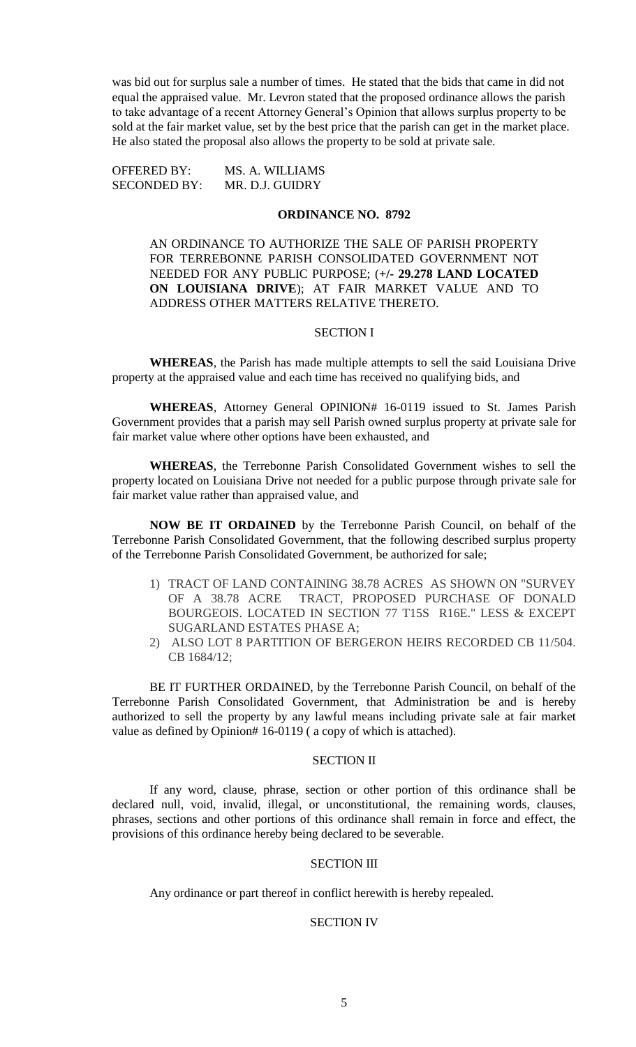was bid out for surplus sale a number of times. He stated that the bids that came in did not equal the appraised value. Mr. Levron stated that the proposed ordinance allows the parish to take advantage of a recent Attorney General's Opinion that allows surplus property to be sold at the fair market value, set by the best price that the parish can get in the market place. He also stated the proposal also allows the property to be sold at private sale.

OFFERED BY: MS. A. WILLIAMS SECONDED BY: MR. D.J. GUIDRY

# **ORDINANCE NO. 8792**

AN ORDINANCE TO AUTHORIZE THE SALE OF PARISH PROPERTY FOR TERREBONNE PARISH CONSOLIDATED GOVERNMENT NOT NEEDED FOR ANY PUBLIC PURPOSE; (**+/- 29.278 LAND LOCATED ON LOUISIANA DRIVE**); AT FAIR MARKET VALUE AND TO ADDRESS OTHER MATTERS RELATIVE THERETO.

#### SECTION I

**WHEREAS**, the Parish has made multiple attempts to sell the said Louisiana Drive property at the appraised value and each time has received no qualifying bids, and

**WHEREAS**, Attorney General OPINION# 16-0119 issued to St. James Parish Government provides that a parish may sell Parish owned surplus property at private sale for fair market value where other options have been exhausted, and

**WHEREAS**, the Terrebonne Parish Consolidated Government wishes to sell the property located on Louisiana Drive not needed for a public purpose through private sale for fair market value rather than appraised value, and

**NOW BE IT ORDAINED** by the Terrebonne Parish Council, on behalf of the Terrebonne Parish Consolidated Government, that the following described surplus property of the Terrebonne Parish Consolidated Government, be authorized for sale;

- 1) TRACT OF LAND CONTAINING 38.78 ACRES AS SHOWN ON "SURVEY OF A 38.78 ACRE TRACT, PROPOSED PURCHASE OF DONALD BOURGEOIS. LOCATED IN SECTION 77 T15S R16E." LESS & EXCEPT SUGARLAND ESTATES PHASE A;
- 2) ALSO LOT 8 PARTITION OF BERGERON HEIRS RECORDED CB 11/504. CB 1684/12;

BE IT FURTHER ORDAINED, by the Terrebonne Parish Council, on behalf of the Terrebonne Parish Consolidated Government, that Administration be and is hereby authorized to sell the property by any lawful means including private sale at fair market value as defined by Opinion# 16-0119 (a copy of which is attached).

#### SECTION II

If any word, clause, phrase, section or other portion of this ordinance shall be declared null, void, invalid, illegal, or unconstitutional, the remaining words, clauses, phrases, sections and other portions of this ordinance shall remain in force and effect, the provisions of this ordinance hereby being declared to be severable.

# SECTION III

Any ordinance or part thereof in conflict herewith is hereby repealed.

## SECTION IV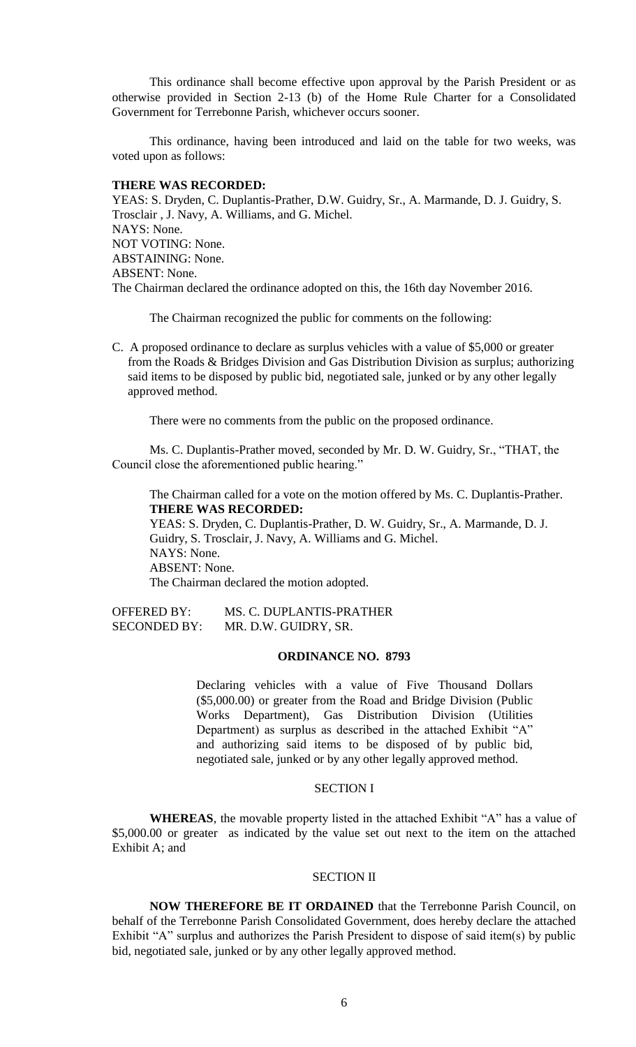This ordinance shall become effective upon approval by the Parish President or as otherwise provided in Section 2-13 (b) of the Home Rule Charter for a Consolidated Government for Terrebonne Parish, whichever occurs sooner.

This ordinance, having been introduced and laid on the table for two weeks, was voted upon as follows:

# **THERE WAS RECORDED:**

YEAS: S. Dryden, C. Duplantis-Prather, D.W. Guidry, Sr., A. Marmande, D. J. Guidry, S. Trosclair , J. Navy, A. Williams, and G. Michel. NAYS: None. NOT VOTING: None. ABSTAINING: None. ABSENT: None. The Chairman declared the ordinance adopted on this, the 16th day November 2016.

The Chairman recognized the public for comments on the following:

C. A proposed ordinance to declare as surplus vehicles with a value of \$5,000 or greater from the Roads & Bridges Division and Gas Distribution Division as surplus; authorizing said items to be disposed by public bid, negotiated sale, junked or by any other legally approved method.

There were no comments from the public on the proposed ordinance.

Ms. C. Duplantis-Prather moved, seconded by Mr. D. W. Guidry, Sr., "THAT, the Council close the aforementioned public hearing."

The Chairman called for a vote on the motion offered by Ms. C. Duplantis-Prather. **THERE WAS RECORDED:**

YEAS: S. Dryden, C. Duplantis-Prather, D. W. Guidry, Sr., A. Marmande, D. J. Guidry, S. Trosclair, J. Navy, A. Williams and G. Michel. NAYS: None. ABSENT: None. The Chairman declared the motion adopted.

OFFERED BY: MS. C. DUPLANTIS-PRATHER SECONDED BY: MR. D.W. GUIDRY, SR.

# **ORDINANCE NO. 8793**

Declaring vehicles with a value of Five Thousand Dollars (\$5,000.00) or greater from the Road and Bridge Division (Public Works Department), Gas Distribution Division (Utilities Department) as surplus as described in the attached Exhibit "A" and authorizing said items to be disposed of by public bid, negotiated sale, junked or by any other legally approved method.

## SECTION I

**WHEREAS**, the movable property listed in the attached Exhibit "A" has a value of \$5,000.00 or greater as indicated by the value set out next to the item on the attached Exhibit A; and

#### SECTION II

**NOW THEREFORE BE IT ORDAINED** that the Terrebonne Parish Council, on behalf of the Terrebonne Parish Consolidated Government, does hereby declare the attached Exhibit "A" surplus and authorizes the Parish President to dispose of said item(s) by public bid, negotiated sale, junked or by any other legally approved method.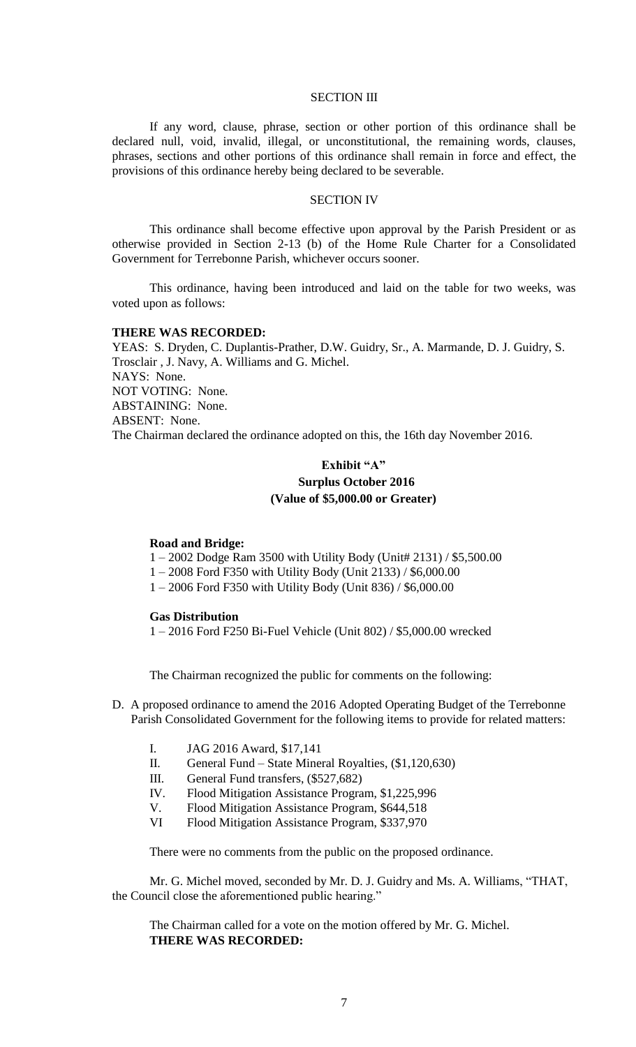#### SECTION III

If any word, clause, phrase, section or other portion of this ordinance shall be declared null, void, invalid, illegal, or unconstitutional, the remaining words, clauses, phrases, sections and other portions of this ordinance shall remain in force and effect, the provisions of this ordinance hereby being declared to be severable.

## SECTION IV

This ordinance shall become effective upon approval by the Parish President or as otherwise provided in Section 2-13 (b) of the Home Rule Charter for a Consolidated Government for Terrebonne Parish, whichever occurs sooner.

This ordinance, having been introduced and laid on the table for two weeks, was voted upon as follows:

#### **THERE WAS RECORDED:**

YEAS: S. Dryden, C. Duplantis-Prather, D.W. Guidry, Sr., A. Marmande, D. J. Guidry, S. Trosclair , J. Navy, A. Williams and G. Michel. NAYS: None. NOT VOTING: None. ABSTAINING: None. ABSENT: None. The Chairman declared the ordinance adopted on this, the 16th day November 2016.

# **Exhibit "A" Surplus October 2016 (Value of \$5,000.00 or Greater)**

#### **Road and Bridge:**

1 – 2002 Dodge Ram 3500 with Utility Body (Unit# 2131) / \$5,500.00

1 – 2008 Ford F350 with Utility Body (Unit 2133) / \$6,000.00

1 – 2006 Ford F350 with Utility Body (Unit 836) / \$6,000.00

#### **Gas Distribution**

1 – 2016 Ford F250 Bi-Fuel Vehicle (Unit 802) / \$5,000.00 wrecked

The Chairman recognized the public for comments on the following:

- D. A proposed ordinance to amend the 2016 Adopted Operating Budget of the Terrebonne Parish Consolidated Government for the following items to provide for related matters:
	- I. JAG 2016 Award, \$17,141
	- II. General Fund State Mineral Royalties, (\$1,120,630)
	- III. General Fund transfers, (\$527,682)
	- IV. Flood Mitigation Assistance Program, \$1,225,996
	- V. Flood Mitigation Assistance Program, \$644,518
	- VI Flood Mitigation Assistance Program, \$337,970

There were no comments from the public on the proposed ordinance.

Mr. G. Michel moved, seconded by Mr. D. J. Guidry and Ms. A. Williams, "THAT, the Council close the aforementioned public hearing."

The Chairman called for a vote on the motion offered by Mr. G. Michel. **THERE WAS RECORDED:**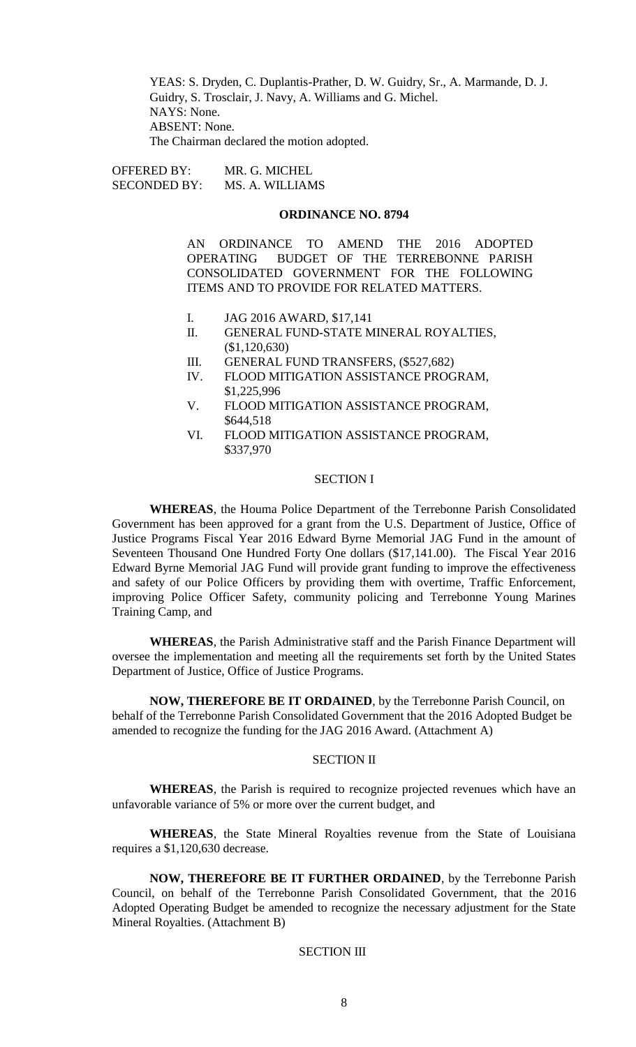YEAS: S. Dryden, C. Duplantis-Prather, D. W. Guidry, Sr., A. Marmande, D. J. Guidry, S. Trosclair, J. Navy, A. Williams and G. Michel. NAYS: None. ABSENT: None. The Chairman declared the motion adopted.

OFFERED BY: MR. G. MICHEL SECONDED BY: MS. A. WILLIAMS

# **ORDINANCE NO. 8794**

AN ORDINANCE TO AMEND THE 2016 ADOPTED OPERATING BUDGET OF THE TERREBONNE PARISH CONSOLIDATED GOVERNMENT FOR THE FOLLOWING ITEMS AND TO PROVIDE FOR RELATED MATTERS.

- I. JAG 2016 AWARD, \$17,141
- II. GENERAL FUND-STATE MINERAL ROYALTIES, (\$1,120,630)
- III. GENERAL FUND TRANSFERS, (\$527,682)
- IV. FLOOD MITIGATION ASSISTANCE PROGRAM, \$1,225,996
- V. FLOOD MITIGATION ASSISTANCE PROGRAM, \$644,518
- VI. FLOOD MITIGATION ASSISTANCE PROGRAM, \$337,970

#### SECTION I

**WHEREAS**, the Houma Police Department of the Terrebonne Parish Consolidated Government has been approved for a grant from the U.S. Department of Justice, Office of Justice Programs Fiscal Year 2016 Edward Byrne Memorial JAG Fund in the amount of Seventeen Thousand One Hundred Forty One dollars (\$17,141.00). The Fiscal Year 2016 Edward Byrne Memorial JAG Fund will provide grant funding to improve the effectiveness and safety of our Police Officers by providing them with overtime, Traffic Enforcement, improving Police Officer Safety, community policing and Terrebonne Young Marines Training Camp, and

**WHEREAS**, the Parish Administrative staff and the Parish Finance Department will oversee the implementation and meeting all the requirements set forth by the United States Department of Justice, Office of Justice Programs.

**NOW, THEREFORE BE IT ORDAINED**, by the Terrebonne Parish Council, on behalf of the Terrebonne Parish Consolidated Government that the 2016 Adopted Budget be amended to recognize the funding for the JAG 2016 Award. (Attachment A)

#### SECTION II

**WHEREAS**, the Parish is required to recognize projected revenues which have an unfavorable variance of 5% or more over the current budget, and

**WHEREAS**, the State Mineral Royalties revenue from the State of Louisiana requires a \$1,120,630 decrease.

**NOW, THEREFORE BE IT FURTHER ORDAINED**, by the Terrebonne Parish Council, on behalf of the Terrebonne Parish Consolidated Government, that the 2016 Adopted Operating Budget be amended to recognize the necessary adjustment for the State Mineral Royalties. (Attachment B)

# SECTION III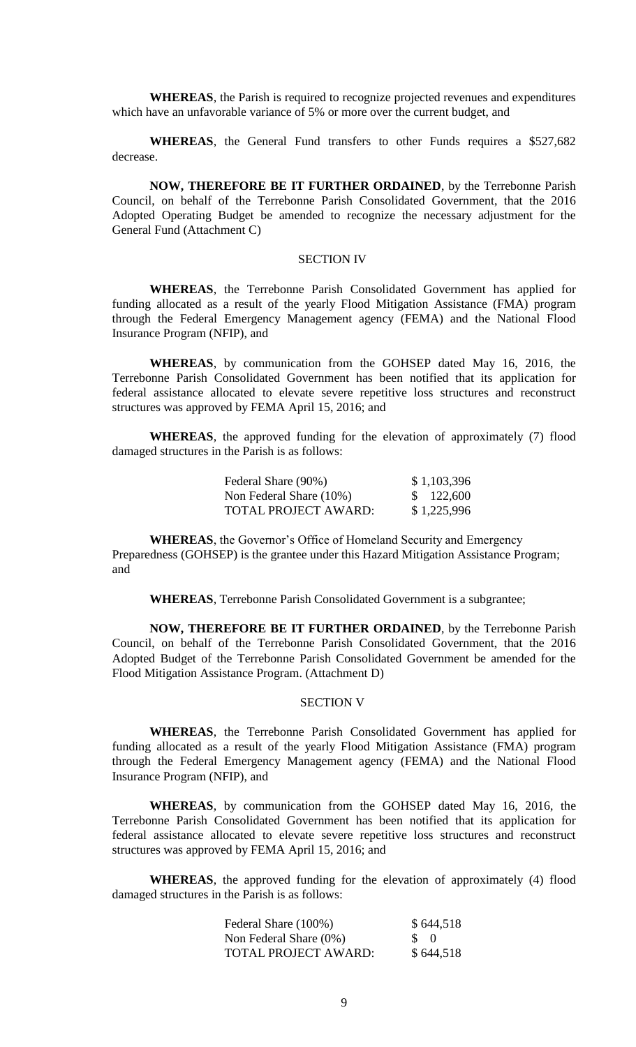**WHEREAS**, the Parish is required to recognize projected revenues and expenditures which have an unfavorable variance of 5% or more over the current budget, and

**WHEREAS**, the General Fund transfers to other Funds requires a \$527,682 decrease.

**NOW, THEREFORE BE IT FURTHER ORDAINED**, by the Terrebonne Parish Council, on behalf of the Terrebonne Parish Consolidated Government, that the 2016 Adopted Operating Budget be amended to recognize the necessary adjustment for the General Fund (Attachment C)

# SECTION IV

**WHEREAS**, the Terrebonne Parish Consolidated Government has applied for funding allocated as a result of the yearly Flood Mitigation Assistance (FMA) program through the Federal Emergency Management agency (FEMA) and the National Flood Insurance Program (NFIP), and

**WHEREAS**, by communication from the GOHSEP dated May 16, 2016, the Terrebonne Parish Consolidated Government has been notified that its application for federal assistance allocated to elevate severe repetitive loss structures and reconstruct structures was approved by FEMA April 15, 2016; and

**WHEREAS**, the approved funding for the elevation of approximately (7) flood damaged structures in the Parish is as follows:

| Federal Share (90%)     | \$1,103,396 |
|-------------------------|-------------|
| Non Federal Share (10%) | \$122,600   |
| TOTAL PROJECT AWARD:    | \$1,225,996 |

**WHEREAS**, the Governor's Office of Homeland Security and Emergency Preparedness (GOHSEP) is the grantee under this Hazard Mitigation Assistance Program; and

**WHEREAS**, Terrebonne Parish Consolidated Government is a subgrantee;

**NOW, THEREFORE BE IT FURTHER ORDAINED**, by the Terrebonne Parish Council, on behalf of the Terrebonne Parish Consolidated Government, that the 2016 Adopted Budget of the Terrebonne Parish Consolidated Government be amended for the Flood Mitigation Assistance Program. (Attachment D)

## SECTION V

**WHEREAS**, the Terrebonne Parish Consolidated Government has applied for funding allocated as a result of the yearly Flood Mitigation Assistance (FMA) program through the Federal Emergency Management agency (FEMA) and the National Flood Insurance Program (NFIP), and

**WHEREAS**, by communication from the GOHSEP dated May 16, 2016, the Terrebonne Parish Consolidated Government has been notified that its application for federal assistance allocated to elevate severe repetitive loss structures and reconstruct structures was approved by FEMA April 15, 2016; and

**WHEREAS**, the approved funding for the elevation of approximately (4) flood damaged structures in the Parish is as follows:

| Federal Share (100%)   | \$644,518       |
|------------------------|-----------------|
| Non Federal Share (0%) | $\mathcal{S}$ 0 |
| TOTAL PROJECT AWARD:   | \$644,518       |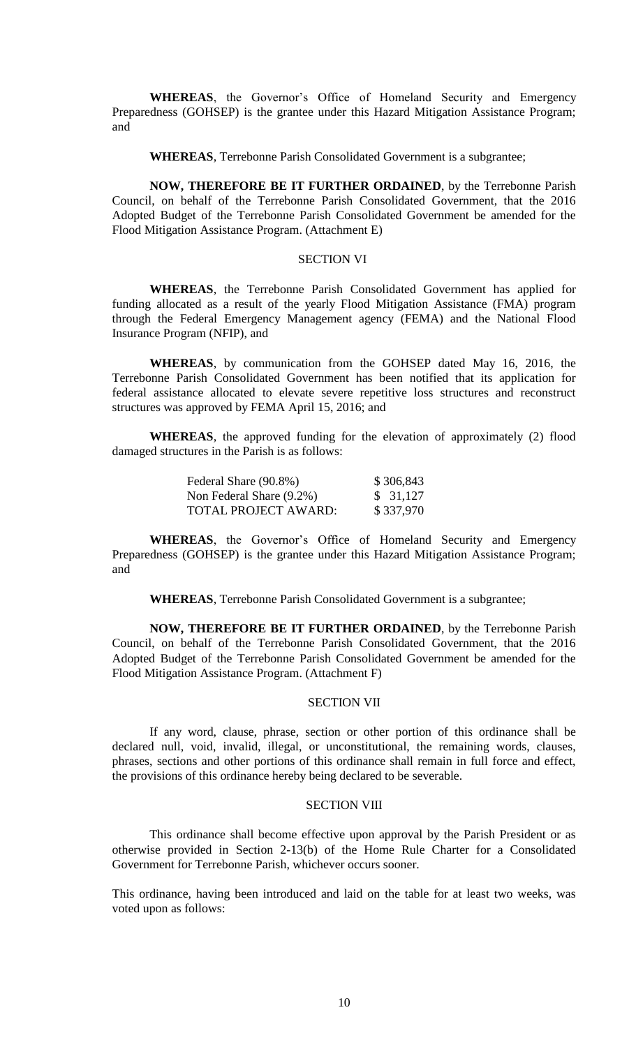**WHEREAS**, the Governor's Office of Homeland Security and Emergency Preparedness (GOHSEP) is the grantee under this Hazard Mitigation Assistance Program; and

**WHEREAS**, Terrebonne Parish Consolidated Government is a subgrantee;

**NOW, THEREFORE BE IT FURTHER ORDAINED**, by the Terrebonne Parish Council, on behalf of the Terrebonne Parish Consolidated Government, that the 2016 Adopted Budget of the Terrebonne Parish Consolidated Government be amended for the Flood Mitigation Assistance Program. (Attachment E)

# SECTION VI

**WHEREAS**, the Terrebonne Parish Consolidated Government has applied for funding allocated as a result of the yearly Flood Mitigation Assistance (FMA) program through the Federal Emergency Management agency (FEMA) and the National Flood Insurance Program (NFIP), and

**WHEREAS**, by communication from the GOHSEP dated May 16, 2016, the Terrebonne Parish Consolidated Government has been notified that its application for federal assistance allocated to elevate severe repetitive loss structures and reconstruct structures was approved by FEMA April 15, 2016; and

**WHEREAS**, the approved funding for the elevation of approximately (2) flood damaged structures in the Parish is as follows:

| Federal Share (90.8%)    | \$306,843 |
|--------------------------|-----------|
| Non Federal Share (9.2%) | \$31,127  |
| TOTAL PROJECT AWARD:     | \$337,970 |

**WHEREAS**, the Governor's Office of Homeland Security and Emergency Preparedness (GOHSEP) is the grantee under this Hazard Mitigation Assistance Program; and

**WHEREAS**, Terrebonne Parish Consolidated Government is a subgrantee;

**NOW, THEREFORE BE IT FURTHER ORDAINED**, by the Terrebonne Parish Council, on behalf of the Terrebonne Parish Consolidated Government, that the 2016 Adopted Budget of the Terrebonne Parish Consolidated Government be amended for the Flood Mitigation Assistance Program. (Attachment F)

# SECTION VII

If any word, clause, phrase, section or other portion of this ordinance shall be declared null, void, invalid, illegal, or unconstitutional, the remaining words, clauses, phrases, sections and other portions of this ordinance shall remain in full force and effect, the provisions of this ordinance hereby being declared to be severable.

#### SECTION VIII

This ordinance shall become effective upon approval by the Parish President or as otherwise provided in Section 2-13(b) of the Home Rule Charter for a Consolidated Government for Terrebonne Parish, whichever occurs sooner.

This ordinance, having been introduced and laid on the table for at least two weeks, was voted upon as follows: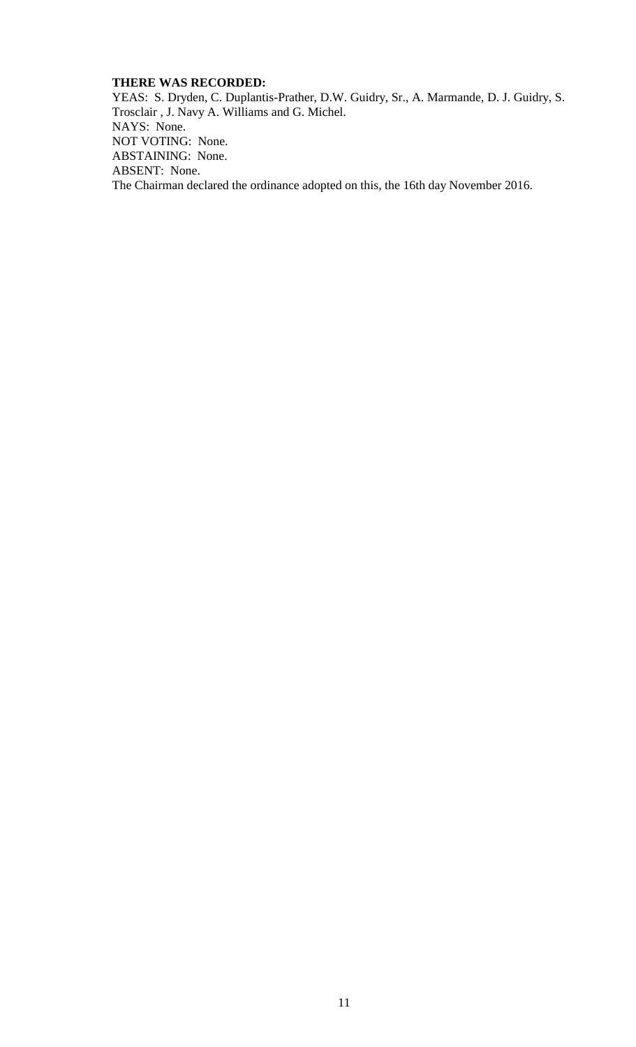# **THERE WAS RECORDED:**

YEAS: S. Dryden, C. Duplantis-Prather, D.W. Guidry, Sr., A. Marmande, D. J. Guidry, S. Trosclair , J. Navy A. Williams and G. Michel. NAYS: None. NOT VOTING: None. ABSTAINING: None. ABSENT: None. The Chairman declared the ordinance adopted on this, the 16th day November 2016.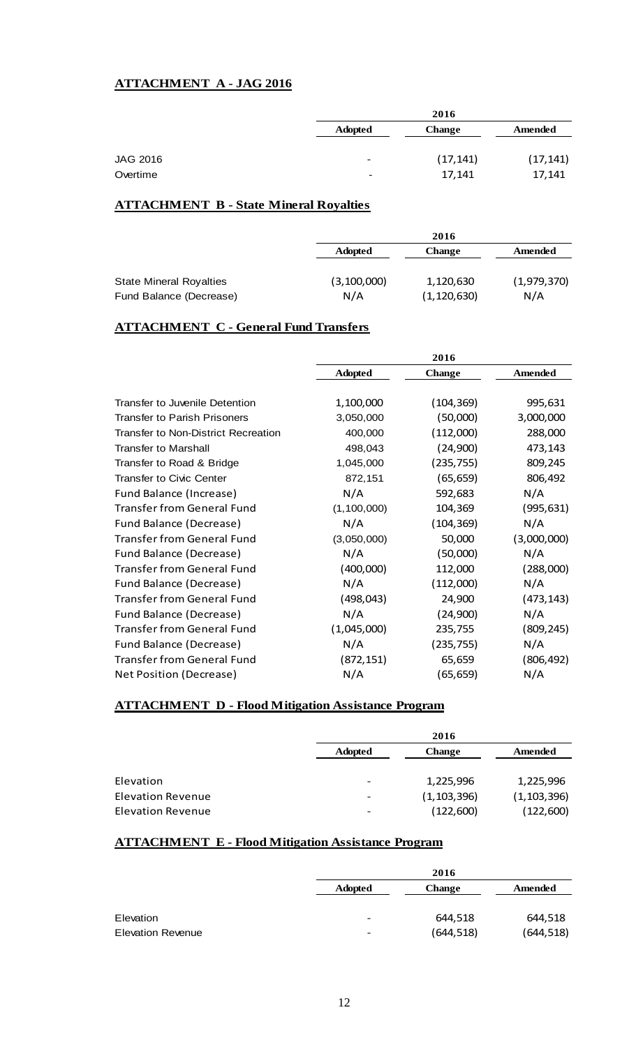# **ATTACHMENT A - JAG 2016**

|                          | 2016          |           |
|--------------------------|---------------|-----------|
| <b>Adopted</b>           | <b>Change</b> | Amended   |
|                          |               |           |
| -                        | (17, 141)     | (17, 141) |
| $\overline{\phantom{0}}$ | 17,141        | 17,141    |
|                          |               |           |

# **ATTACHMENT B - State Mineral Royalties**

|                                |                | 2016          |             |
|--------------------------------|----------------|---------------|-------------|
|                                | <b>Adopted</b> | <b>Change</b> | Amended     |
|                                |                |               |             |
| <b>State Mineral Royalties</b> | (3, 100, 000)  | 1,120,630     | (1,979,370) |
| Fund Balance (Decrease)        | N/A            | (1, 120, 630) | N/A         |

# **ATTACHMENT C - General Fund Transfers**

|                                            |                | 2016          |                |
|--------------------------------------------|----------------|---------------|----------------|
|                                            | <b>Adopted</b> | <b>Change</b> | <b>Amended</b> |
|                                            |                |               |                |
| Transfer to Juvenile Detention             | 1,100,000      | (104, 369)    | 995,631        |
| <b>Transfer to Parish Prisoners</b>        | 3,050,000      | (50,000)      | 3,000,000      |
| <b>Transfer to Non-District Recreation</b> | 400,000        | (112,000)     | 288,000        |
| <b>Transfer to Marshall</b>                | 498,043        | (24,900)      | 473,143        |
| Transfer to Road & Bridge                  | 1,045,000      | (235, 755)    | 809,245        |
| <b>Transfer to Civic Center</b>            | 872,151        | (65, 659)     | 806,492        |
| Fund Balance (Increase)                    | N/A            | 592,683       | N/A            |
| <b>Transfer from General Fund</b>          | (1, 100, 000)  | 104,369       | (995, 631)     |
| Fund Balance (Decrease)                    | N/A            | (104, 369)    | N/A            |
| <b>Transfer from General Fund</b>          | (3,050,000)    | 50,000        | (3,000,000)    |
| Fund Balance (Decrease)                    | N/A            | (50,000)      | N/A            |
| <b>Transfer from General Fund</b>          | (400,000)      | 112,000       | (288,000)      |
| Fund Balance (Decrease)                    | N/A            | (112,000)     | N/A            |
| <b>Transfer from General Fund</b>          | (498, 043)     | 24,900        | (473, 143)     |
| Fund Balance (Decrease)                    | N/A            | (24,900)      | N/A            |
| <b>Transfer from General Fund</b>          | (1,045,000)    | 235,755       | (809, 245)     |
| Fund Balance (Decrease)                    | N/A            | (235,755)     | N/A            |
| <b>Transfer from General Fund</b>          | (872, 151)     | 65,659        | (806, 492)     |
| Net Position (Decrease)                    | N/A            | (65, 659)     | N/A            |

# **ATTACHMENT D - Flood Mitigation Assistance Program**

|                          | 2016                     |               |               |
|--------------------------|--------------------------|---------------|---------------|
|                          | <b>Adopted</b>           | <b>Change</b> | Amended       |
|                          |                          |               |               |
| Elevation                |                          | 1,225,996     | 1,225,996     |
| <b>Elevation Revenue</b> |                          | (1, 103, 396) | (1, 103, 396) |
| <b>Elevation Revenue</b> | $\overline{\phantom{0}}$ | (122,600)     | (122,600)     |

# **ATTACHMENT E - Flood Mitigation Assistance Program**

|                          | 2016            |               |            |
|--------------------------|-----------------|---------------|------------|
|                          | <b>Adopted</b>  | <b>Change</b> | Amended    |
|                          |                 |               |            |
| Elevation                | $\qquad \qquad$ | 644,518       | 644,518    |
| <b>Elevation Revenue</b> | $\qquad \qquad$ | (644, 518)    | (644, 518) |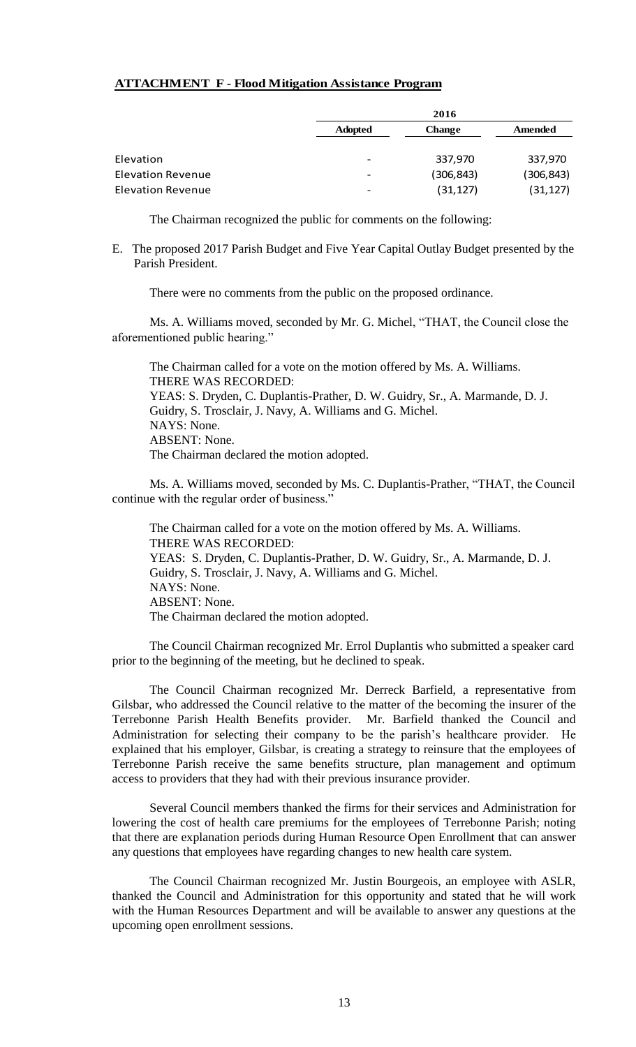# **ATTACHMENT F - Flood Mitigation Assistance Program**

|                          |                          | 2016       |            |
|--------------------------|--------------------------|------------|------------|
|                          | <b>Adopted</b>           | Change     | Amended    |
| Elevation                |                          | 337,970    | 337,970    |
| <b>Elevation Revenue</b> | $\overline{\phantom{0}}$ | (306, 843) | (306, 843) |
| <b>Elevation Revenue</b> | -                        | (31, 127)  | (31, 127)  |

The Chairman recognized the public for comments on the following:

E. The proposed 2017 Parish Budget and Five Year Capital Outlay Budget presented by the Parish President.

There were no comments from the public on the proposed ordinance.

Ms. A. Williams moved, seconded by Mr. G. Michel, "THAT, the Council close the aforementioned public hearing."

The Chairman called for a vote on the motion offered by Ms. A. Williams. THERE WAS RECORDED: YEAS: S. Dryden, C. Duplantis-Prather, D. W. Guidry, Sr., A. Marmande, D. J. Guidry, S. Trosclair, J. Navy, A. Williams and G. Michel. NAYS: None. ABSENT: None. The Chairman declared the motion adopted.

Ms. A. Williams moved, seconded by Ms. C. Duplantis-Prather, "THAT, the Council continue with the regular order of business."

The Chairman called for a vote on the motion offered by Ms. A. Williams. THERE WAS RECORDED: YEAS: S. Dryden, C. Duplantis-Prather, D. W. Guidry, Sr., A. Marmande, D. J. Guidry, S. Trosclair, J. Navy, A. Williams and G. Michel. NAYS: None. ABSENT: None. The Chairman declared the motion adopted.

The Council Chairman recognized Mr. Errol Duplantis who submitted a speaker card prior to the beginning of the meeting, but he declined to speak.

The Council Chairman recognized Mr. Derreck Barfield, a representative from Gilsbar, who addressed the Council relative to the matter of the becoming the insurer of the Terrebonne Parish Health Benefits provider. Mr. Barfield thanked the Council and Administration for selecting their company to be the parish's healthcare provider. He explained that his employer, Gilsbar, is creating a strategy to reinsure that the employees of Terrebonne Parish receive the same benefits structure, plan management and optimum access to providers that they had with their previous insurance provider.

Several Council members thanked the firms for their services and Administration for lowering the cost of health care premiums for the employees of Terrebonne Parish; noting that there are explanation periods during Human Resource Open Enrollment that can answer any questions that employees have regarding changes to new health care system.

The Council Chairman recognized Mr. Justin Bourgeois, an employee with ASLR, thanked the Council and Administration for this opportunity and stated that he will work with the Human Resources Department and will be available to answer any questions at the upcoming open enrollment sessions.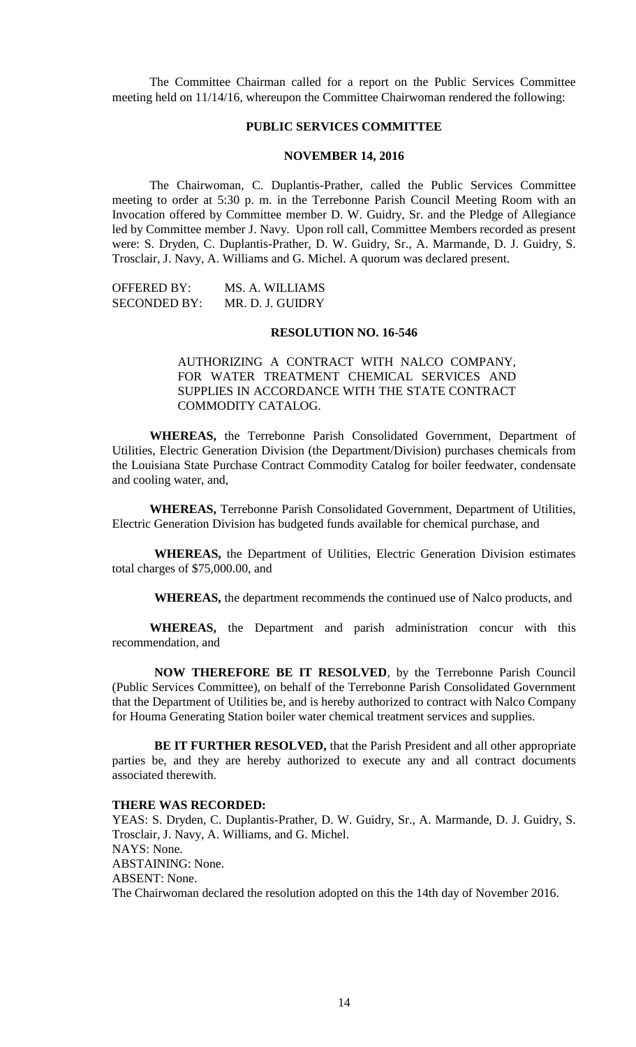The Committee Chairman called for a report on the Public Services Committee meeting held on 11/14/16, whereupon the Committee Chairwoman rendered the following:

# **PUBLIC SERVICES COMMITTEE**

## **NOVEMBER 14, 2016**

The Chairwoman, C. Duplantis-Prather, called the Public Services Committee meeting to order at 5:30 p. m. in the Terrebonne Parish Council Meeting Room with an Invocation offered by Committee member D. W. Guidry, Sr. and the Pledge of Allegiance led by Committee member J. Navy. Upon roll call, Committee Members recorded as present were: S. Dryden, C. Duplantis-Prather, D. W. Guidry, Sr., A. Marmande, D. J. Guidry, S. Trosclair, J. Navy, A. Williams and G. Michel. A quorum was declared present.

| <b>OFFERED BY:</b>  | MS. A. WILLIAMS  |
|---------------------|------------------|
| <b>SECONDED BY:</b> | MR. D. J. GUIDRY |

#### **RESOLUTION NO. 16-546**

# AUTHORIZING A CONTRACT WITH NALCO COMPANY, FOR WATER TREATMENT CHEMICAL SERVICES AND SUPPLIES IN ACCORDANCE WITH THE STATE CONTRACT COMMODITY CATALOG.

**WHEREAS,** the Terrebonne Parish Consolidated Government, Department of Utilities, Electric Generation Division (the Department/Division) purchases chemicals from the Louisiana State Purchase Contract Commodity Catalog for boiler feedwater, condensate and cooling water, and,

**WHEREAS,** Terrebonne Parish Consolidated Government, Department of Utilities, Electric Generation Division has budgeted funds available for chemical purchase, and

**WHEREAS,** the Department of Utilities, Electric Generation Division estimates total charges of \$75,000.00, and

**WHEREAS,** the department recommends the continued use of Nalco products, and

**WHEREAS,** the Department and parish administration concur with this recommendation, and

**NOW THEREFORE BE IT RESOLVED**, by the Terrebonne Parish Council (Public Services Committee), on behalf of the Terrebonne Parish Consolidated Government that the Department of Utilities be, and is hereby authorized to contract with Nalco Company for Houma Generating Station boiler water chemical treatment services and supplies.

**BE IT FURTHER RESOLVED,** that the Parish President and all other appropriate parties be, and they are hereby authorized to execute any and all contract documents associated therewith.

#### **THERE WAS RECORDED:**

YEAS: S. Dryden, C. Duplantis-Prather, D. W. Guidry, Sr., A. Marmande, D. J. Guidry, S. Trosclair, J. Navy, A. Williams, and G. Michel. NAYS: None. ABSTAINING: None. ABSENT: None. The Chairwoman declared the resolution adopted on this the 14th day of November 2016.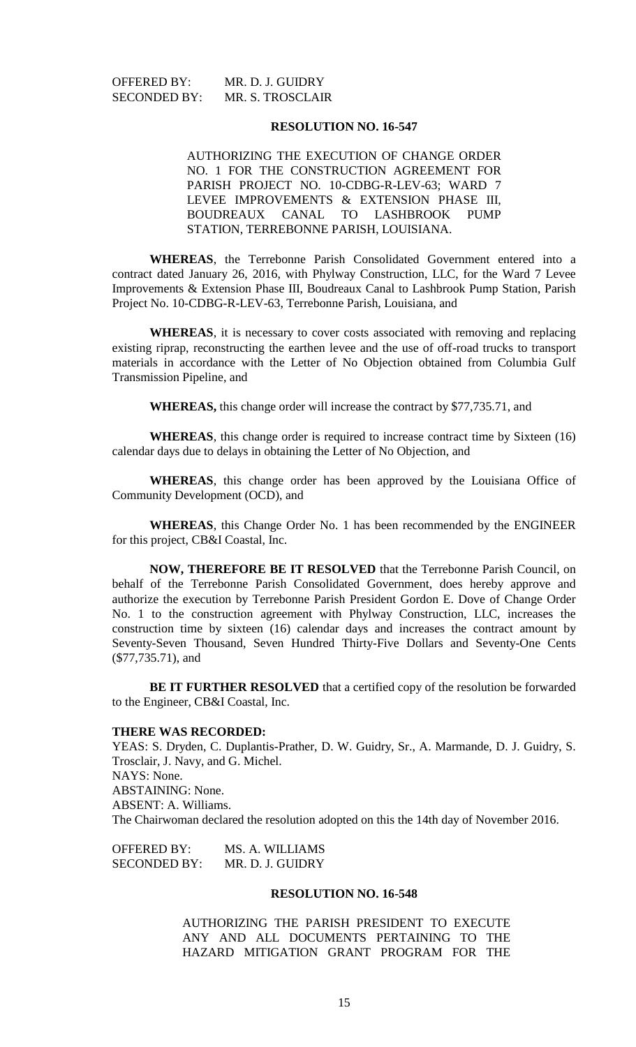OFFERED BY: MR. D. J. GUIDRY

SECONDED BY: MR. S. TROSCLAIR

## **RESOLUTION NO. 16-547**

AUTHORIZING THE EXECUTION OF CHANGE ORDER NO. 1 FOR THE CONSTRUCTION AGREEMENT FOR PARISH PROJECT NO. 10-CDBG-R-LEV-63; WARD 7 LEVEE IMPROVEMENTS & EXTENSION PHASE III, BOUDREAUX CANAL TO LASHBROOK PUMP STATION, TERREBONNE PARISH, LOUISIANA.

**WHEREAS**, the Terrebonne Parish Consolidated Government entered into a contract dated January 26, 2016, with Phylway Construction, LLC, for the Ward 7 Levee Improvements & Extension Phase III, Boudreaux Canal to Lashbrook Pump Station, Parish Project No. 10-CDBG-R-LEV-63, Terrebonne Parish, Louisiana, and

**WHEREAS**, it is necessary to cover costs associated with removing and replacing existing riprap, reconstructing the earthen levee and the use of off-road trucks to transport materials in accordance with the Letter of No Objection obtained from Columbia Gulf Transmission Pipeline, and

**WHEREAS,** this change order will increase the contract by \$77,735.71, and

**WHEREAS**, this change order is required to increase contract time by Sixteen (16) calendar days due to delays in obtaining the Letter of No Objection, and

**WHEREAS**, this change order has been approved by the Louisiana Office of Community Development (OCD), and

**WHEREAS**, this Change Order No. 1 has been recommended by the ENGINEER for this project, CB&I Coastal, Inc.

**NOW, THEREFORE BE IT RESOLVED** that the Terrebonne Parish Council, on behalf of the Terrebonne Parish Consolidated Government, does hereby approve and authorize the execution by Terrebonne Parish President Gordon E. Dove of Change Order No. 1 to the construction agreement with Phylway Construction, LLC, increases the construction time by sixteen (16) calendar days and increases the contract amount by Seventy-Seven Thousand, Seven Hundred Thirty-Five Dollars and Seventy-One Cents (\$77,735.71), and

**BE IT FURTHER RESOLVED** that a certified copy of the resolution be forwarded to the Engineer, CB&I Coastal, Inc.

#### **THERE WAS RECORDED:**

YEAS: S. Dryden, C. Duplantis-Prather, D. W. Guidry, Sr., A. Marmande, D. J. Guidry, S. Trosclair, J. Navy, and G. Michel. NAYS: None. ABSTAINING: None. ABSENT: A. Williams. The Chairwoman declared the resolution adopted on this the 14th day of November 2016.

OFFERED BY: MS. A. WILLIAMS SECONDED BY: MR. D. J. GUIDRY

#### **RESOLUTION NO. 16-548**

AUTHORIZING THE PARISH PRESIDENT TO EXECUTE ANY AND ALL DOCUMENTS PERTAINING TO THE HAZARD MITIGATION GRANT PROGRAM FOR THE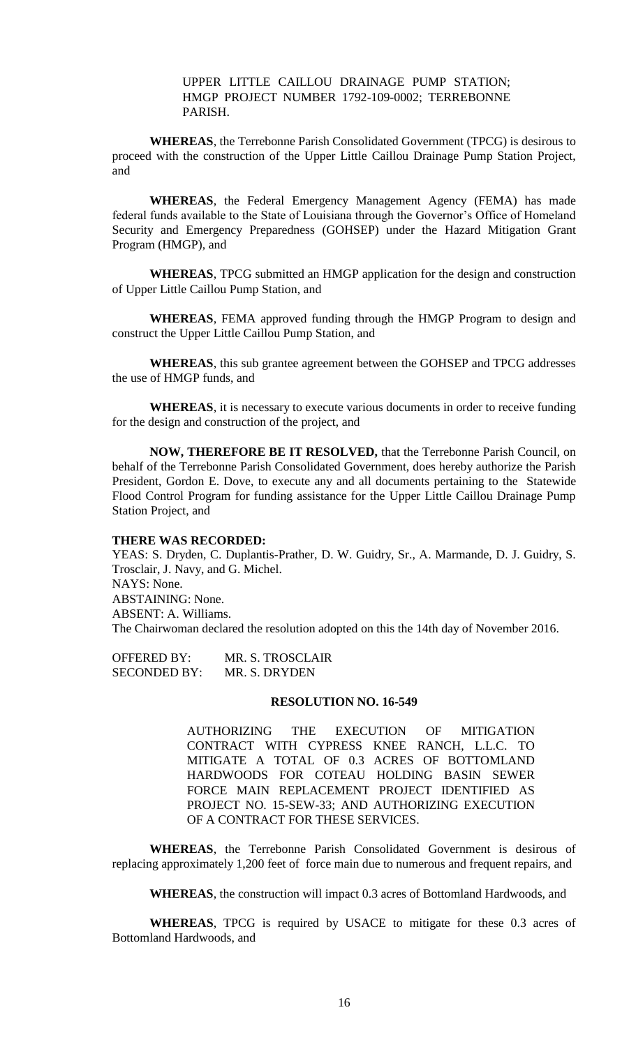UPPER LITTLE CAILLOU DRAINAGE PUMP STATION; HMGP PROJECT NUMBER 1792-109-0002; TERREBONNE PARISH.

**WHEREAS**, the Terrebonne Parish Consolidated Government (TPCG) is desirous to proceed with the construction of the Upper Little Caillou Drainage Pump Station Project, and

**WHEREAS**, the Federal Emergency Management Agency (FEMA) has made federal funds available to the State of Louisiana through the Governor's Office of Homeland Security and Emergency Preparedness (GOHSEP) under the Hazard Mitigation Grant Program (HMGP), and

**WHEREAS**, TPCG submitted an HMGP application for the design and construction of Upper Little Caillou Pump Station, and

**WHEREAS**, FEMA approved funding through the HMGP Program to design and construct the Upper Little Caillou Pump Station, and

**WHEREAS**, this sub grantee agreement between the GOHSEP and TPCG addresses the use of HMGP funds, and

**WHEREAS**, it is necessary to execute various documents in order to receive funding for the design and construction of the project, and

**NOW, THEREFORE BE IT RESOLVED,** that the Terrebonne Parish Council, on behalf of the Terrebonne Parish Consolidated Government, does hereby authorize the Parish President, Gordon E. Dove, to execute any and all documents pertaining to the Statewide Flood Control Program for funding assistance for the Upper Little Caillou Drainage Pump Station Project, and

## **THERE WAS RECORDED:**

YEAS: S. Dryden, C. Duplantis-Prather, D. W. Guidry, Sr., A. Marmande, D. J. Guidry, S. Trosclair, J. Navy, and G. Michel. NAYS: None. ABSTAINING: None. ABSENT: A. Williams. The Chairwoman declared the resolution adopted on this the 14th day of November 2016.

OFFERED BY: MR. S. TROSCLAIR SECONDED BY: MR. S. DRYDEN

#### **RESOLUTION NO. 16-549**

AUTHORIZING THE EXECUTION OF MITIGATION CONTRACT WITH CYPRESS KNEE RANCH, L.L.C. TO MITIGATE A TOTAL OF 0.3 ACRES OF BOTTOMLAND HARDWOODS FOR COTEAU HOLDING BASIN SEWER FORCE MAIN REPLACEMENT PROJECT IDENTIFIED AS PROJECT NO. 15-SEW-33; AND AUTHORIZING EXECUTION OF A CONTRACT FOR THESE SERVICES.

**WHEREAS**, the Terrebonne Parish Consolidated Government is desirous of replacing approximately 1,200 feet of force main due to numerous and frequent repairs, and

**WHEREAS**, the construction will impact 0.3 acres of Bottomland Hardwoods, and

**WHEREAS**, TPCG is required by USACE to mitigate for these 0.3 acres of Bottomland Hardwoods, and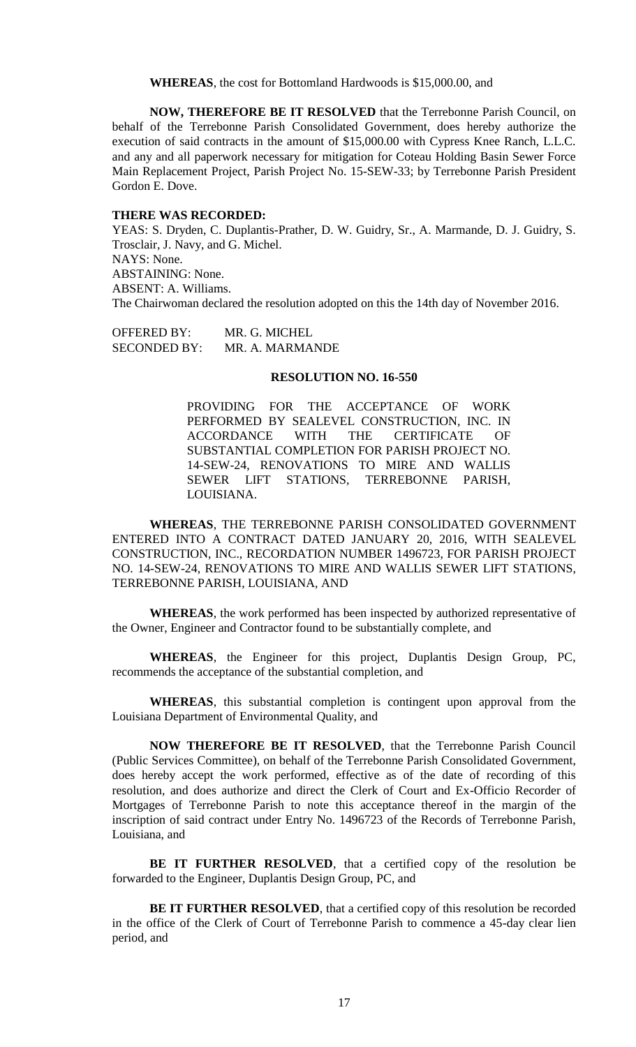**WHEREAS**, the cost for Bottomland Hardwoods is \$15,000.00, and

**NOW, THEREFORE BE IT RESOLVED** that the Terrebonne Parish Council, on behalf of the Terrebonne Parish Consolidated Government, does hereby authorize the execution of said contracts in the amount of \$15,000.00 with Cypress Knee Ranch, L.L.C. and any and all paperwork necessary for mitigation for Coteau Holding Basin Sewer Force Main Replacement Project, Parish Project No. 15-SEW-33; by Terrebonne Parish President Gordon E. Dove.

## **THERE WAS RECORDED:**

YEAS: S. Dryden, C. Duplantis-Prather, D. W. Guidry, Sr., A. Marmande, D. J. Guidry, S. Trosclair, J. Navy, and G. Michel. NAYS: None. ABSTAINING: None. ABSENT: A. Williams. The Chairwoman declared the resolution adopted on this the 14th day of November 2016.

OFFERED BY: MR. G. MICHEL SECONDED BY: MR. A. MARMANDE

## **RESOLUTION NO. 16-550**

PROVIDING FOR THE ACCEPTANCE OF WORK PERFORMED BY SEALEVEL CONSTRUCTION, INC. IN ACCORDANCE WITH THE CERTIFICATE OF SUBSTANTIAL COMPLETION FOR PARISH PROJECT NO. 14-SEW-24, RENOVATIONS TO MIRE AND WALLIS SEWER LIFT STATIONS, TERREBONNE PARISH, LOUISIANA.

**WHEREAS**, THE TERREBONNE PARISH CONSOLIDATED GOVERNMENT ENTERED INTO A CONTRACT DATED JANUARY 20, 2016, WITH SEALEVEL CONSTRUCTION, INC., RECORDATION NUMBER 1496723, FOR PARISH PROJECT NO. 14-SEW-24, RENOVATIONS TO MIRE AND WALLIS SEWER LIFT STATIONS, TERREBONNE PARISH, LOUISIANA, AND

**WHEREAS**, the work performed has been inspected by authorized representative of the Owner, Engineer and Contractor found to be substantially complete, and

**WHEREAS**, the Engineer for this project, Duplantis Design Group, PC, recommends the acceptance of the substantial completion, and

**WHEREAS**, this substantial completion is contingent upon approval from the Louisiana Department of Environmental Quality, and

**NOW THEREFORE BE IT RESOLVED**, that the Terrebonne Parish Council (Public Services Committee), on behalf of the Terrebonne Parish Consolidated Government, does hereby accept the work performed, effective as of the date of recording of this resolution, and does authorize and direct the Clerk of Court and Ex-Officio Recorder of Mortgages of Terrebonne Parish to note this acceptance thereof in the margin of the inscription of said contract under Entry No. 1496723 of the Records of Terrebonne Parish, Louisiana, and

**BE IT FURTHER RESOLVED**, that a certified copy of the resolution be forwarded to the Engineer, Duplantis Design Group, PC, and

**BE IT FURTHER RESOLVED**, that a certified copy of this resolution be recorded in the office of the Clerk of Court of Terrebonne Parish to commence a 45-day clear lien period, and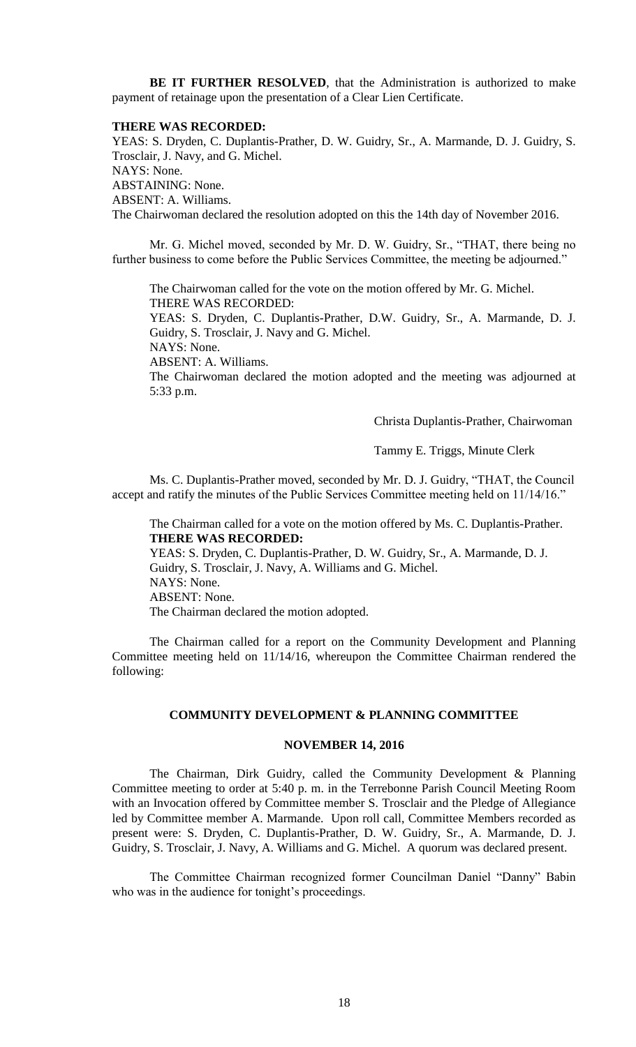**BE IT FURTHER RESOLVED**, that the Administration is authorized to make payment of retainage upon the presentation of a Clear Lien Certificate.

#### **THERE WAS RECORDED:**

YEAS: S. Dryden, C. Duplantis-Prather, D. W. Guidry, Sr., A. Marmande, D. J. Guidry, S. Trosclair, J. Navy, and G. Michel. NAYS: None. ABSTAINING: None. ABSENT: A. Williams. The Chairwoman declared the resolution adopted on this the 14th day of November 2016.

Mr. G. Michel moved, seconded by Mr. D. W. Guidry, Sr., "THAT, there being no further business to come before the Public Services Committee, the meeting be adjourned."

The Chairwoman called for the vote on the motion offered by Mr. G. Michel. THERE WAS RECORDED:

YEAS: S. Dryden, C. Duplantis-Prather, D.W. Guidry, Sr., A. Marmande, D. J. Guidry, S. Trosclair, J. Navy and G. Michel.

NAYS: None.

ABSENT: A. Williams.

The Chairwoman declared the motion adopted and the meeting was adjourned at 5:33 p.m.

Christa Duplantis-Prather, Chairwoman

Tammy E. Triggs, Minute Clerk

Ms. C. Duplantis-Prather moved, seconded by Mr. D. J. Guidry, "THAT, the Council accept and ratify the minutes of the Public Services Committee meeting held on 11/14/16."

The Chairman called for a vote on the motion offered by Ms. C. Duplantis-Prather. **THERE WAS RECORDED:** YEAS: S. Dryden, C. Duplantis-Prather, D. W. Guidry, Sr., A. Marmande, D. J. Guidry, S. Trosclair, J. Navy, A. Williams and G. Michel. NAYS: None. ABSENT: None. The Chairman declared the motion adopted.

The Chairman called for a report on the Community Development and Planning Committee meeting held on 11/14/16, whereupon the Committee Chairman rendered the following:

## **COMMUNITY DEVELOPMENT & PLANNING COMMITTEE**

#### **NOVEMBER 14, 2016**

The Chairman, Dirk Guidry, called the Community Development & Planning Committee meeting to order at 5:40 p. m. in the Terrebonne Parish Council Meeting Room with an Invocation offered by Committee member S. Trosclair and the Pledge of Allegiance led by Committee member A. Marmande. Upon roll call, Committee Members recorded as present were: S. Dryden, C. Duplantis-Prather, D. W. Guidry, Sr., A. Marmande, D. J. Guidry, S. Trosclair, J. Navy, A. Williams and G. Michel. A quorum was declared present.

The Committee Chairman recognized former Councilman Daniel "Danny" Babin who was in the audience for tonight's proceedings.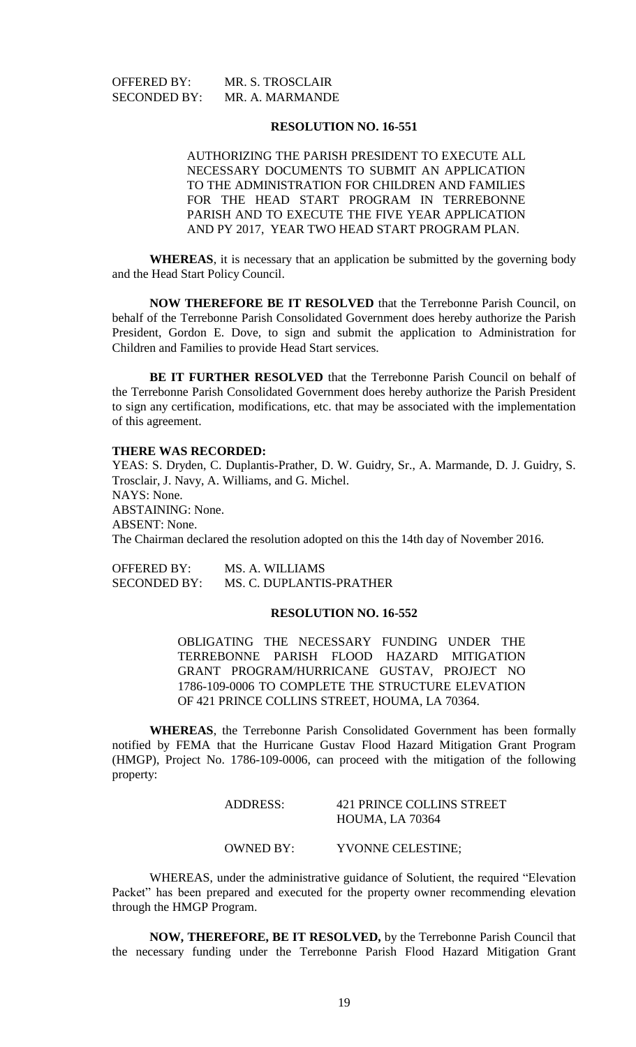OFFERED BY: MR. S. TROSCLAIR SECONDED BY: MR. A. MARMANDE

#### **RESOLUTION NO. 16-551**

AUTHORIZING THE PARISH PRESIDENT TO EXECUTE ALL NECESSARY DOCUMENTS TO SUBMIT AN APPLICATION TO THE ADMINISTRATION FOR CHILDREN AND FAMILIES FOR THE HEAD START PROGRAM IN TERREBONNE PARISH AND TO EXECUTE THE FIVE YEAR APPLICATION AND PY 2017, YEAR TWO HEAD START PROGRAM PLAN.

**WHEREAS**, it is necessary that an application be submitted by the governing body and the Head Start Policy Council.

**NOW THEREFORE BE IT RESOLVED** that the Terrebonne Parish Council, on behalf of the Terrebonne Parish Consolidated Government does hereby authorize the Parish President, Gordon E. Dove, to sign and submit the application to Administration for Children and Families to provide Head Start services.

**BE IT FURTHER RESOLVED** that the Terrebonne Parish Council on behalf of the Terrebonne Parish Consolidated Government does hereby authorize the Parish President to sign any certification, modifications, etc. that may be associated with the implementation of this agreement.

#### **THERE WAS RECORDED:**

YEAS: S. Dryden, C. Duplantis-Prather, D. W. Guidry, Sr., A. Marmande, D. J. Guidry, S. Trosclair, J. Navy, A. Williams, and G. Michel. NAYS: None. ABSTAINING: None. ABSENT: None. The Chairman declared the resolution adopted on this the 14th day of November 2016.

OFFERED BY: MS. A. WILLIAMS SECONDED BY: MS. C. DUPLANTIS-PRATHER

# **RESOLUTION NO. 16-552**

OBLIGATING THE NECESSARY FUNDING UNDER THE TERREBONNE PARISH FLOOD HAZARD MITIGATION GRANT PROGRAM/HURRICANE GUSTAV, PROJECT NO 1786-109-0006 TO COMPLETE THE STRUCTURE ELEVATION OF 421 PRINCE COLLINS STREET, HOUMA, LA 70364.

**WHEREAS**, the Terrebonne Parish Consolidated Government has been formally notified by FEMA that the Hurricane Gustav Flood Hazard Mitigation Grant Program (HMGP), Project No. 1786-109-0006, can proceed with the mitigation of the following property:

# ADDRESS: 421 PRINCE COLLINS STREET HOUMA, LA 70364

# OWNED BY: YVONNE CELESTINE;

WHEREAS, under the administrative guidance of Solutient, the required "Elevation Packet" has been prepared and executed for the property owner recommending elevation through the HMGP Program.

**NOW, THEREFORE, BE IT RESOLVED,** by the Terrebonne Parish Council that the necessary funding under the Terrebonne Parish Flood Hazard Mitigation Grant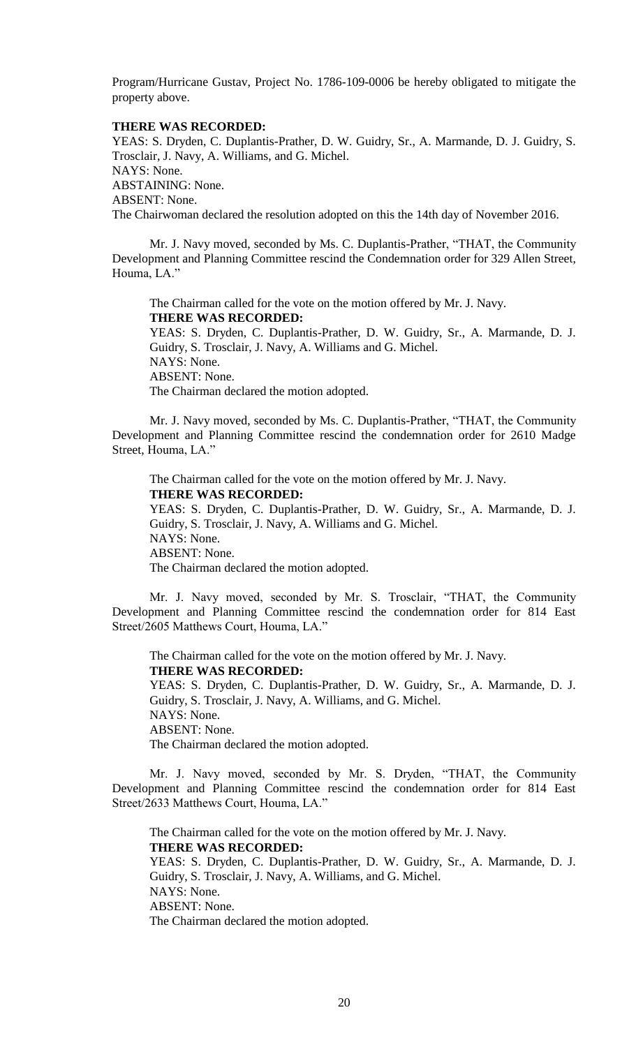Program/Hurricane Gustav, Project No. 1786-109-0006 be hereby obligated to mitigate the property above.

# **THERE WAS RECORDED:**

YEAS: S. Dryden, C. Duplantis-Prather, D. W. Guidry, Sr., A. Marmande, D. J. Guidry, S. Trosclair, J. Navy, A. Williams, and G. Michel. NAYS: None. ABSTAINING: None. ABSENT: None. The Chairwoman declared the resolution adopted on this the 14th day of November 2016.

Mr. J. Navy moved, seconded by Ms. C. Duplantis-Prather, "THAT, the Community Development and Planning Committee rescind the Condemnation order for 329 Allen Street, Houma, LA."

The Chairman called for the vote on the motion offered by Mr. J. Navy. **THERE WAS RECORDED:** YEAS: S. Dryden, C. Duplantis-Prather, D. W. Guidry, Sr., A. Marmande, D. J. Guidry, S. Trosclair, J. Navy, A. Williams and G. Michel. NAYS: None. ABSENT: None.

The Chairman declared the motion adopted.

Mr. J. Navy moved, seconded by Ms. C. Duplantis-Prather, "THAT, the Community Development and Planning Committee rescind the condemnation order for 2610 Madge Street, Houma, LA."

The Chairman called for the vote on the motion offered by Mr. J. Navy. **THERE WAS RECORDED:** YEAS: S. Dryden, C. Duplantis-Prather, D. W. Guidry, Sr., A. Marmande, D. J. Guidry, S. Trosclair, J. Navy, A. Williams and G. Michel. NAYS: None. ABSENT: None.

The Chairman declared the motion adopted.

Mr. J. Navy moved, seconded by Mr. S. Trosclair, "THAT, the Community Development and Planning Committee rescind the condemnation order for 814 East Street/2605 Matthews Court, Houma, LA."

The Chairman called for the vote on the motion offered by Mr. J. Navy. **THERE WAS RECORDED:** YEAS: S. Dryden, C. Duplantis-Prather, D. W. Guidry, Sr., A. Marmande, D. J. Guidry, S. Trosclair, J. Navy, A. Williams, and G. Michel. NAYS: None. ABSENT: None.

The Chairman declared the motion adopted.

Mr. J. Navy moved, seconded by Mr. S. Dryden, "THAT, the Community Development and Planning Committee rescind the condemnation order for 814 East Street/2633 Matthews Court, Houma, LA."

The Chairman called for the vote on the motion offered by Mr. J. Navy. **THERE WAS RECORDED:** YEAS: S. Dryden, C. Duplantis-Prather, D. W. Guidry, Sr., A. Marmande, D. J. Guidry, S. Trosclair, J. Navy, A. Williams, and G. Michel. NAYS: None. ABSENT: None. The Chairman declared the motion adopted.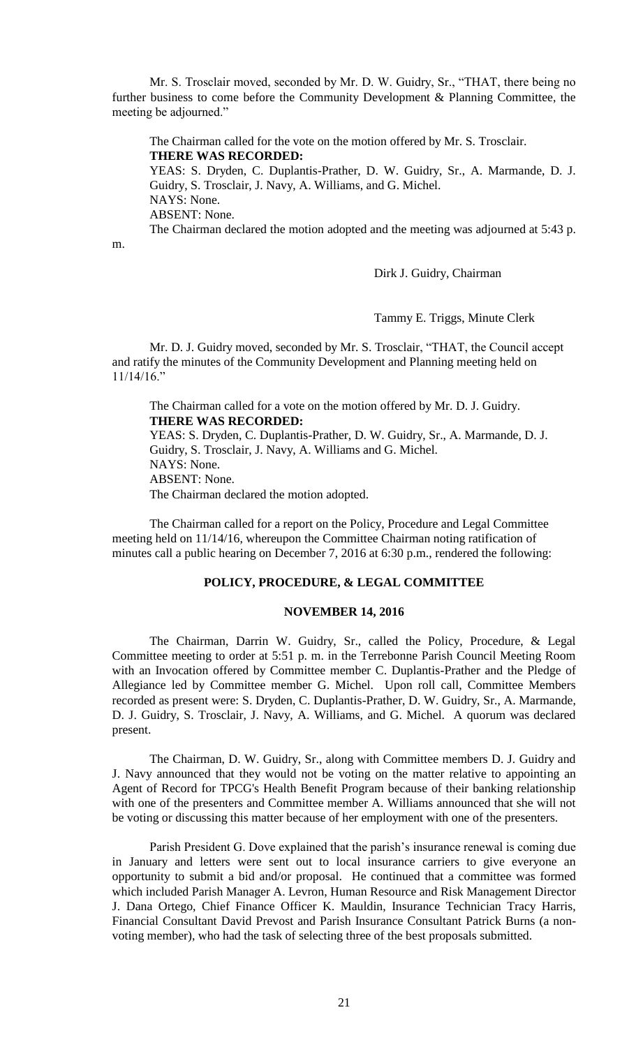Mr. S. Trosclair moved, seconded by Mr. D. W. Guidry, Sr., "THAT, there being no further business to come before the Community Development & Planning Committee, the meeting be adjourned."

The Chairman called for the vote on the motion offered by Mr. S. Trosclair. **THERE WAS RECORDED:**

YEAS: S. Dryden, C. Duplantis-Prather, D. W. Guidry, Sr., A. Marmande, D. J. Guidry, S. Trosclair, J. Navy, A. Williams, and G. Michel.

NAYS: None.

ABSENT: None.

The Chairman declared the motion adopted and the meeting was adjourned at 5:43 p.

m.

Dirk J. Guidry, Chairman

Tammy E. Triggs, Minute Clerk

Mr. D. J. Guidry moved, seconded by Mr. S. Trosclair, "THAT, the Council accept and ratify the minutes of the Community Development and Planning meeting held on 11/14/16."

The Chairman called for a vote on the motion offered by Mr. D. J. Guidry. **THERE WAS RECORDED:**

YEAS: S. Dryden, C. Duplantis-Prather, D. W. Guidry, Sr., A. Marmande, D. J. Guidry, S. Trosclair, J. Navy, A. Williams and G. Michel. NAYS: None. ABSENT: None. The Chairman declared the motion adopted.

The Chairman called for a report on the Policy, Procedure and Legal Committee meeting held on 11/14/16, whereupon the Committee Chairman noting ratification of minutes call a public hearing on December 7, 2016 at 6:30 p.m., rendered the following:

#### **POLICY, PROCEDURE, & LEGAL COMMITTEE**

# **NOVEMBER 14, 2016**

The Chairman, Darrin W. Guidry, Sr., called the Policy, Procedure, & Legal Committee meeting to order at 5:51 p. m. in the Terrebonne Parish Council Meeting Room with an Invocation offered by Committee member C. Duplantis-Prather and the Pledge of Allegiance led by Committee member G. Michel. Upon roll call, Committee Members recorded as present were: S. Dryden, C. Duplantis-Prather, D. W. Guidry, Sr., A. Marmande, D. J. Guidry, S. Trosclair, J. Navy, A. Williams, and G. Michel. A quorum was declared present.

The Chairman, D. W. Guidry, Sr., along with Committee members D. J. Guidry and J. Navy announced that they would not be voting on the matter relative to appointing an Agent of Record for TPCG's Health Benefit Program because of their banking relationship with one of the presenters and Committee member A. Williams announced that she will not be voting or discussing this matter because of her employment with one of the presenters.

Parish President G. Dove explained that the parish's insurance renewal is coming due in January and letters were sent out to local insurance carriers to give everyone an opportunity to submit a bid and/or proposal. He continued that a committee was formed which included Parish Manager A. Levron, Human Resource and Risk Management Director J. Dana Ortego, Chief Finance Officer K. Mauldin, Insurance Technician Tracy Harris, Financial Consultant David Prevost and Parish Insurance Consultant Patrick Burns (a nonvoting member), who had the task of selecting three of the best proposals submitted.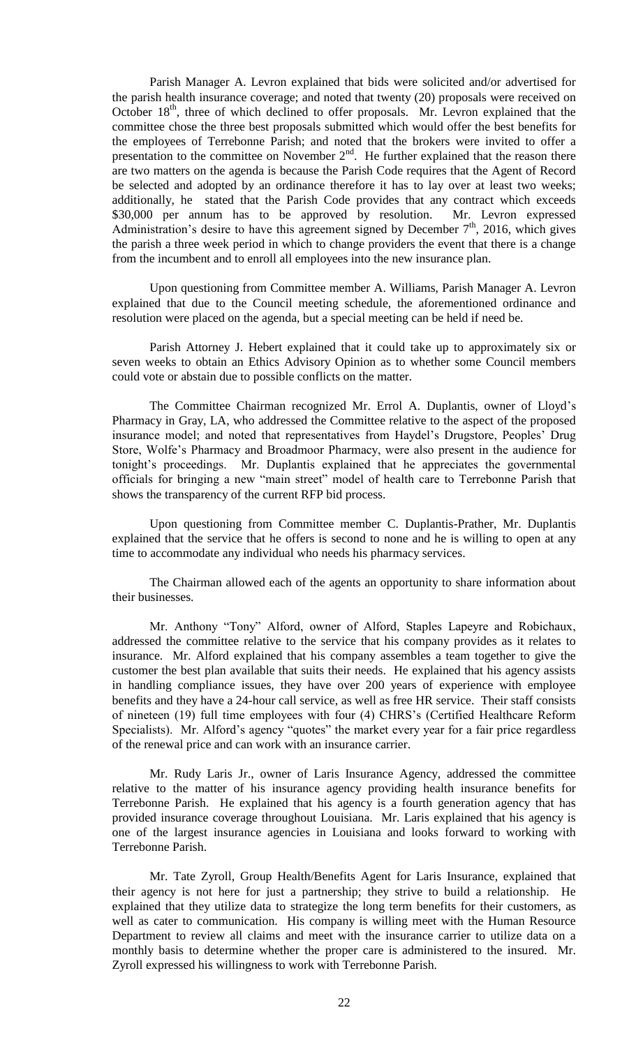Parish Manager A. Levron explained that bids were solicited and/or advertised for the parish health insurance coverage; and noted that twenty (20) proposals were received on October 18<sup>th</sup>, three of which declined to offer proposals. Mr. Levron explained that the committee chose the three best proposals submitted which would offer the best benefits for the employees of Terrebonne Parish; and noted that the brokers were invited to offer a presentation to the committee on November  $2<sup>nd</sup>$ . He further explained that the reason there are two matters on the agenda is because the Parish Code requires that the Agent of Record be selected and adopted by an ordinance therefore it has to lay over at least two weeks; additionally, he stated that the Parish Code provides that any contract which exceeds \$30,000 per annum has to be approved by resolution. Mr. Levron expressed Administration's desire to have this agreement signed by December  $7<sup>th</sup>$ , 2016, which gives the parish a three week period in which to change providers the event that there is a change from the incumbent and to enroll all employees into the new insurance plan.

Upon questioning from Committee member A. Williams, Parish Manager A. Levron explained that due to the Council meeting schedule, the aforementioned ordinance and resolution were placed on the agenda, but a special meeting can be held if need be.

Parish Attorney J. Hebert explained that it could take up to approximately six or seven weeks to obtain an Ethics Advisory Opinion as to whether some Council members could vote or abstain due to possible conflicts on the matter.

The Committee Chairman recognized Mr. Errol A. Duplantis, owner of Lloyd's Pharmacy in Gray, LA, who addressed the Committee relative to the aspect of the proposed insurance model; and noted that representatives from Haydel's Drugstore, Peoples' Drug Store, Wolfe's Pharmacy and Broadmoor Pharmacy, were also present in the audience for tonight's proceedings. Mr. Duplantis explained that he appreciates the governmental officials for bringing a new "main street" model of health care to Terrebonne Parish that shows the transparency of the current RFP bid process.

Upon questioning from Committee member C. Duplantis-Prather, Mr. Duplantis explained that the service that he offers is second to none and he is willing to open at any time to accommodate any individual who needs his pharmacy services.

The Chairman allowed each of the agents an opportunity to share information about their businesses.

Mr. Anthony "Tony" Alford, owner of Alford, Staples Lapeyre and Robichaux, addressed the committee relative to the service that his company provides as it relates to insurance. Mr. Alford explained that his company assembles a team together to give the customer the best plan available that suits their needs. He explained that his agency assists in handling compliance issues, they have over 200 years of experience with employee benefits and they have a 24-hour call service, as well as free HR service. Their staff consists of nineteen (19) full time employees with four (4) CHRS's (Certified Healthcare Reform Specialists). Mr. Alford's agency "quotes" the market every year for a fair price regardless of the renewal price and can work with an insurance carrier.

Mr. Rudy Laris Jr., owner of Laris Insurance Agency, addressed the committee relative to the matter of his insurance agency providing health insurance benefits for Terrebonne Parish. He explained that his agency is a fourth generation agency that has provided insurance coverage throughout Louisiana. Mr. Laris explained that his agency is one of the largest insurance agencies in Louisiana and looks forward to working with Terrebonne Parish.

Mr. Tate Zyroll, Group Health/Benefits Agent for Laris Insurance, explained that their agency is not here for just a partnership; they strive to build a relationship. He explained that they utilize data to strategize the long term benefits for their customers, as well as cater to communication. His company is willing meet with the Human Resource Department to review all claims and meet with the insurance carrier to utilize data on a monthly basis to determine whether the proper care is administered to the insured. Mr. Zyroll expressed his willingness to work with Terrebonne Parish.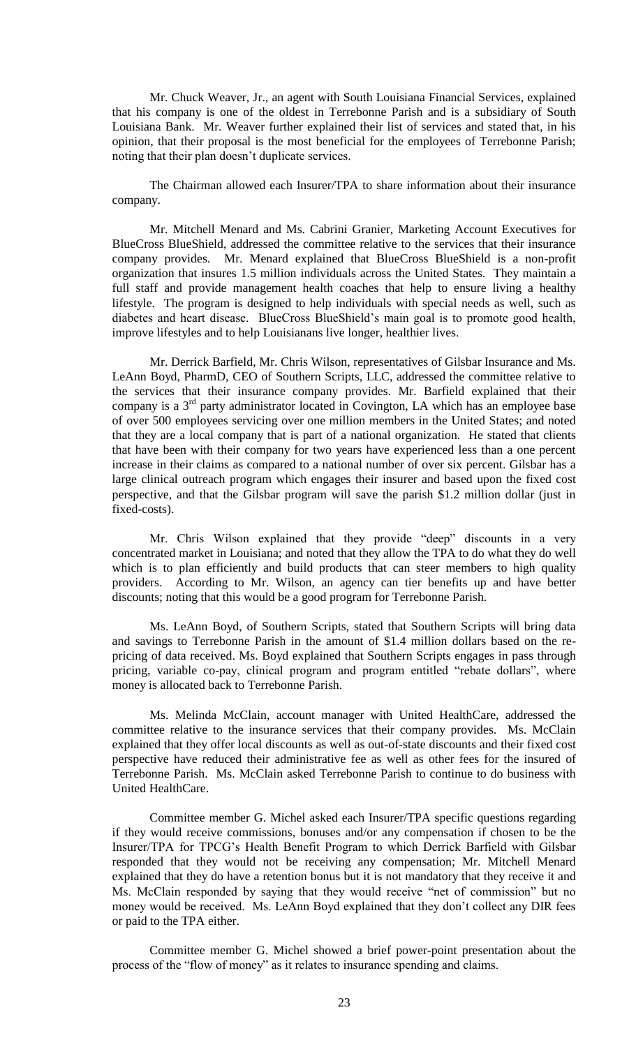Mr. Chuck Weaver, Jr., an agent with South Louisiana Financial Services, explained that his company is one of the oldest in Terrebonne Parish and is a subsidiary of South Louisiana Bank. Mr. Weaver further explained their list of services and stated that, in his opinion, that their proposal is the most beneficial for the employees of Terrebonne Parish; noting that their plan doesn't duplicate services.

The Chairman allowed each Insurer/TPA to share information about their insurance company.

Mr. Mitchell Menard and Ms. Cabrini Granier, Marketing Account Executives for BlueCross BlueShield, addressed the committee relative to the services that their insurance company provides. Mr. Menard explained that BlueCross BlueShield is a non-profit organization that insures 1.5 million individuals across the United States. They maintain a full staff and provide management health coaches that help to ensure living a healthy lifestyle. The program is designed to help individuals with special needs as well, such as diabetes and heart disease. BlueCross BlueShield's main goal is to promote good health, improve lifestyles and to help Louisianans live longer, healthier lives.

Mr. Derrick Barfield, Mr. Chris Wilson, representatives of Gilsbar Insurance and Ms. LeAnn Boyd, PharmD, CEO of Southern Scripts, LLC, addressed the committee relative to the services that their insurance company provides. Mr. Barfield explained that their company is a  $3<sup>rd</sup>$  party administrator located in Covington, LA which has an employee base of over 500 employees servicing over one million members in the United States; and noted that they are a local company that is part of a national organization. He stated that clients that have been with their company for two years have experienced less than a one percent increase in their claims as compared to a national number of over six percent. Gilsbar has a large clinical outreach program which engages their insurer and based upon the fixed cost perspective, and that the Gilsbar program will save the parish \$1.2 million dollar (just in fixed-costs).

Mr. Chris Wilson explained that they provide "deep" discounts in a very concentrated market in Louisiana; and noted that they allow the TPA to do what they do well which is to plan efficiently and build products that can steer members to high quality providers. According to Mr. Wilson, an agency can tier benefits up and have better discounts; noting that this would be a good program for Terrebonne Parish.

Ms. LeAnn Boyd, of Southern Scripts, stated that Southern Scripts will bring data and savings to Terrebonne Parish in the amount of \$1.4 million dollars based on the repricing of data received. Ms. Boyd explained that Southern Scripts engages in pass through pricing, variable co-pay, clinical program and program entitled "rebate dollars", where money is allocated back to Terrebonne Parish.

Ms. Melinda McClain, account manager with United HealthCare, addressed the committee relative to the insurance services that their company provides. Ms. McClain explained that they offer local discounts as well as out-of-state discounts and their fixed cost perspective have reduced their administrative fee as well as other fees for the insured of Terrebonne Parish. Ms. McClain asked Terrebonne Parish to continue to do business with United HealthCare.

Committee member G. Michel asked each Insurer/TPA specific questions regarding if they would receive commissions, bonuses and/or any compensation if chosen to be the Insurer/TPA for TPCG's Health Benefit Program to which Derrick Barfield with Gilsbar responded that they would not be receiving any compensation; Mr. Mitchell Menard explained that they do have a retention bonus but it is not mandatory that they receive it and Ms. McClain responded by saying that they would receive "net of commission" but no money would be received. Ms. LeAnn Boyd explained that they don't collect any DIR fees or paid to the TPA either.

Committee member G. Michel showed a brief power-point presentation about the process of the "flow of money" as it relates to insurance spending and claims.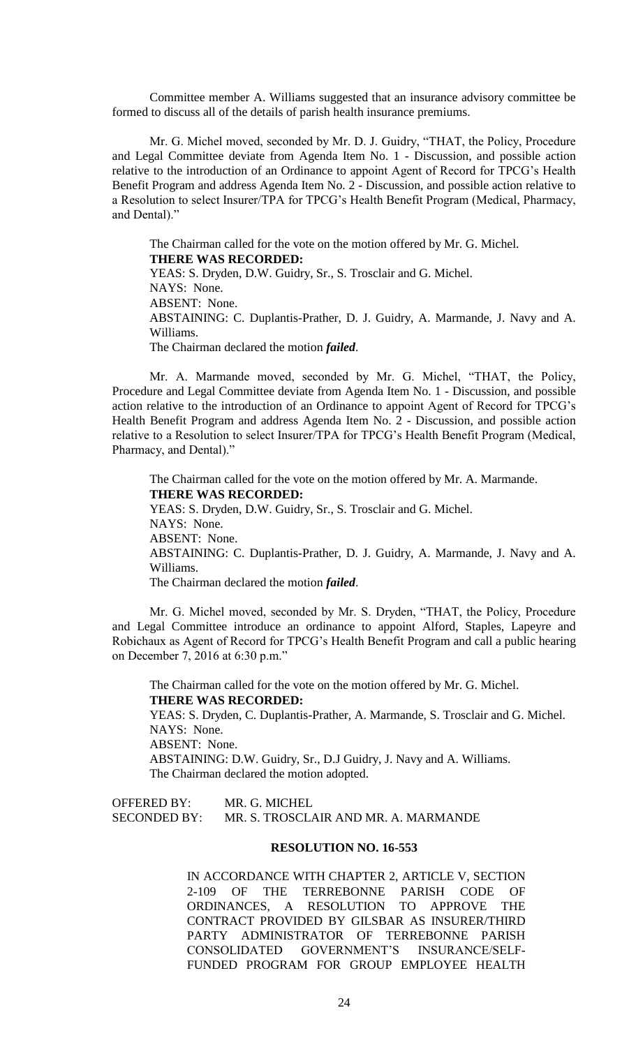Committee member A. Williams suggested that an insurance advisory committee be formed to discuss all of the details of parish health insurance premiums.

Mr. G. Michel moved, seconded by Mr. D. J. Guidry, "THAT, the Policy, Procedure and Legal Committee deviate from Agenda Item No. 1 - Discussion, and possible action relative to the introduction of an Ordinance to appoint Agent of Record for TPCG's Health Benefit Program and address Agenda Item No. 2 - Discussion, and possible action relative to a Resolution to select Insurer/TPA for TPCG's Health Benefit Program (Medical, Pharmacy, and Dental)."

The Chairman called for the vote on the motion offered by Mr. G. Michel. **THERE WAS RECORDED:** YEAS: S. Dryden, D.W. Guidry, Sr., S. Trosclair and G. Michel. NAYS: None. ABSENT: None. ABSTAINING: C. Duplantis-Prather, D. J. Guidry, A. Marmande, J. Navy and A. Williams. The Chairman declared the motion *failed*.

Mr. A. Marmande moved, seconded by Mr. G. Michel, "THAT, the Policy, Procedure and Legal Committee deviate from Agenda Item No. 1 - Discussion, and possible action relative to the introduction of an Ordinance to appoint Agent of Record for TPCG's Health Benefit Program and address Agenda Item No. 2 - Discussion, and possible action relative to a Resolution to select Insurer/TPA for TPCG's Health Benefit Program (Medical, Pharmacy, and Dental)."

The Chairman called for the vote on the motion offered by Mr. A. Marmande. **THERE WAS RECORDED:** YEAS: S. Dryden, D.W. Guidry, Sr., S. Trosclair and G. Michel. NAYS: None. ABSENT: None. ABSTAINING: C. Duplantis-Prather, D. J. Guidry, A. Marmande, J. Navy and A. Williams. The Chairman declared the motion *failed*.

Mr. G. Michel moved, seconded by Mr. S. Dryden, "THAT, the Policy, Procedure and Legal Committee introduce an ordinance to appoint Alford, Staples, Lapeyre and Robichaux as Agent of Record for TPCG's Health Benefit Program and call a public hearing on December 7, 2016 at 6:30 p.m."

The Chairman called for the vote on the motion offered by Mr. G. Michel. **THERE WAS RECORDED:**

YEAS: S. Dryden, C. Duplantis-Prather, A. Marmande, S. Trosclair and G. Michel. NAYS: None.

ABSENT: None.

ABSTAINING: D.W. Guidry, Sr., D.J Guidry, J. Navy and A. Williams. The Chairman declared the motion adopted.

# OFFERED BY: MR. G. MICHEL SECONDED BY: MR. S. TROSCLAIR AND MR. A. MARMANDE

# **RESOLUTION NO. 16-553**

IN ACCORDANCE WITH CHAPTER 2, ARTICLE V, SECTION 2-109 OF THE TERREBONNE PARISH CODE OF ORDINANCES, A RESOLUTION TO APPROVE THE CONTRACT PROVIDED BY GILSBAR AS INSURER/THIRD PARTY ADMINISTRATOR OF TERREBONNE PARISH CONSOLIDATED GOVERNMENT'S INSURANCE/SELF-FUNDED PROGRAM FOR GROUP EMPLOYEE HEALTH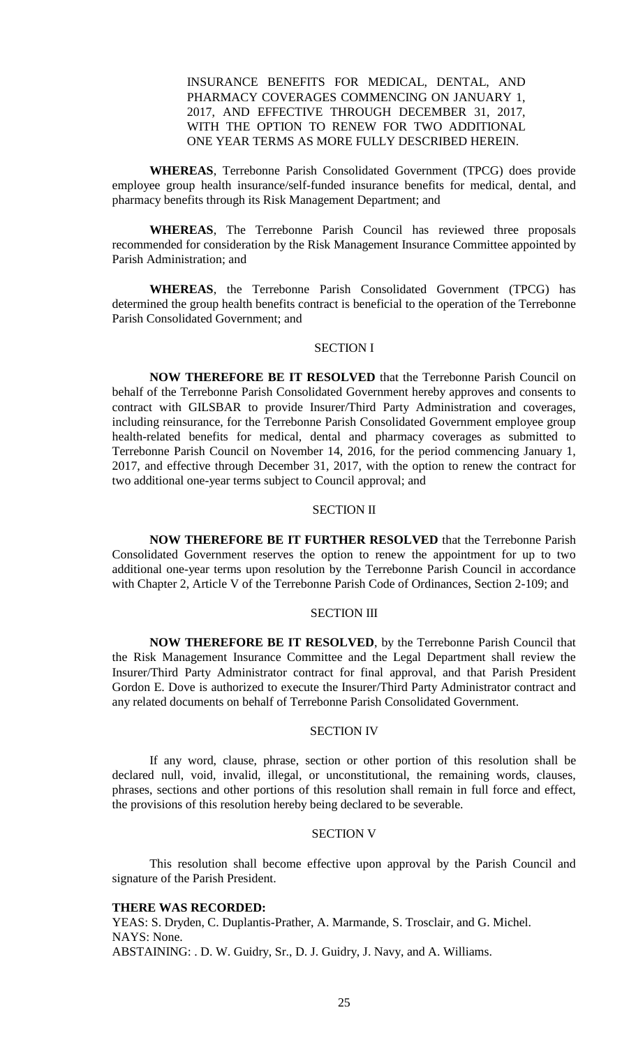# INSURANCE BENEFITS FOR MEDICAL, DENTAL, AND PHARMACY COVERAGES COMMENCING ON JANUARY 1, 2017, AND EFFECTIVE THROUGH DECEMBER 31, 2017, WITH THE OPTION TO RENEW FOR TWO ADDITIONAL ONE YEAR TERMS AS MORE FULLY DESCRIBED HEREIN.

**WHEREAS**, Terrebonne Parish Consolidated Government (TPCG) does provide employee group health insurance/self-funded insurance benefits for medical, dental, and pharmacy benefits through its Risk Management Department; and

**WHEREAS**, The Terrebonne Parish Council has reviewed three proposals recommended for consideration by the Risk Management Insurance Committee appointed by Parish Administration; and

**WHEREAS**, the Terrebonne Parish Consolidated Government (TPCG) has determined the group health benefits contract is beneficial to the operation of the Terrebonne Parish Consolidated Government; and

# SECTION I

**NOW THEREFORE BE IT RESOLVED** that the Terrebonne Parish Council on behalf of the Terrebonne Parish Consolidated Government hereby approves and consents to contract with GILSBAR to provide Insurer/Third Party Administration and coverages, including reinsurance, for the Terrebonne Parish Consolidated Government employee group health-related benefits for medical, dental and pharmacy coverages as submitted to Terrebonne Parish Council on November 14, 2016, for the period commencing January 1, 2017, and effective through December 31, 2017, with the option to renew the contract for two additional one-year terms subject to Council approval; and

#### SECTION II

**NOW THEREFORE BE IT FURTHER RESOLVED** that the Terrebonne Parish Consolidated Government reserves the option to renew the appointment for up to two additional one-year terms upon resolution by the Terrebonne Parish Council in accordance with Chapter 2, Article V of the Terrebonne Parish Code of Ordinances, Section 2-109; and

# SECTION III

**NOW THEREFORE BE IT RESOLVED**, by the Terrebonne Parish Council that the Risk Management Insurance Committee and the Legal Department shall review the Insurer/Third Party Administrator contract for final approval, and that Parish President Gordon E. Dove is authorized to execute the Insurer/Third Party Administrator contract and any related documents on behalf of Terrebonne Parish Consolidated Government.

#### SECTION IV

If any word, clause, phrase, section or other portion of this resolution shall be declared null, void, invalid, illegal, or unconstitutional, the remaining words, clauses, phrases, sections and other portions of this resolution shall remain in full force and effect, the provisions of this resolution hereby being declared to be severable.

#### SECTION V

This resolution shall become effective upon approval by the Parish Council and signature of the Parish President.

#### **THERE WAS RECORDED:**

YEAS: S. Dryden, C. Duplantis-Prather, A. Marmande, S. Trosclair, and G. Michel. NAYS: None. ABSTAINING: . D. W. Guidry, Sr., D. J. Guidry, J. Navy, and A. Williams.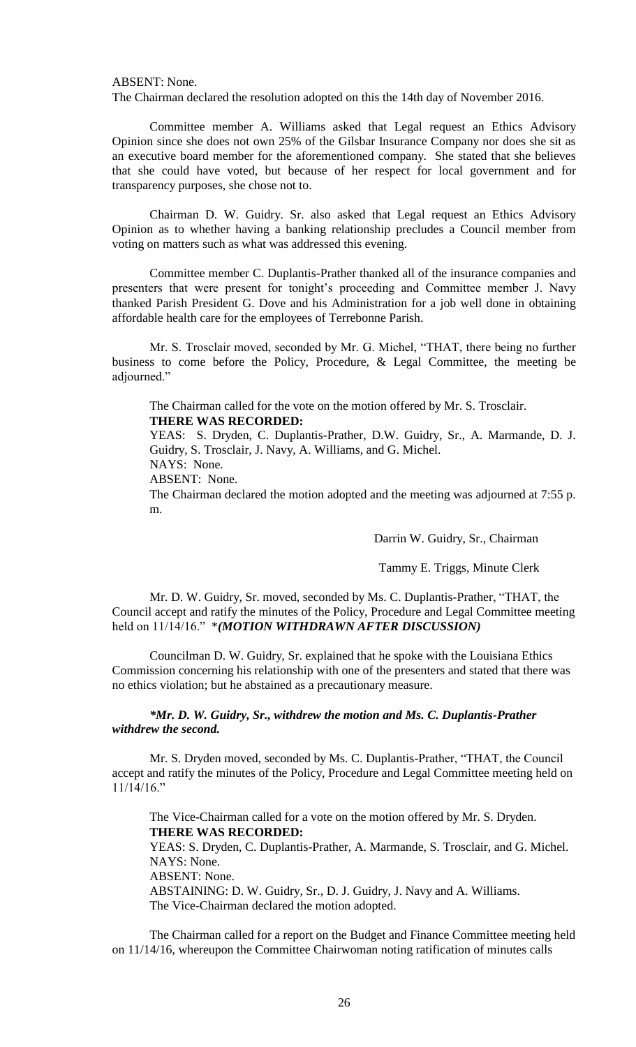## ABSENT: None.

The Chairman declared the resolution adopted on this the 14th day of November 2016.

Committee member A. Williams asked that Legal request an Ethics Advisory Opinion since she does not own 25% of the Gilsbar Insurance Company nor does she sit as an executive board member for the aforementioned company. She stated that she believes that she could have voted, but because of her respect for local government and for transparency purposes, she chose not to.

Chairman D. W. Guidry. Sr. also asked that Legal request an Ethics Advisory Opinion as to whether having a banking relationship precludes a Council member from voting on matters such as what was addressed this evening.

Committee member C. Duplantis-Prather thanked all of the insurance companies and presenters that were present for tonight's proceeding and Committee member J. Navy thanked Parish President G. Dove and his Administration for a job well done in obtaining affordable health care for the employees of Terrebonne Parish.

Mr. S. Trosclair moved, seconded by Mr. G. Michel, "THAT, there being no further business to come before the Policy, Procedure, & Legal Committee, the meeting be adjourned."

The Chairman called for the vote on the motion offered by Mr. S. Trosclair. **THERE WAS RECORDED:**

YEAS: S. Dryden, C. Duplantis-Prather, D.W. Guidry, Sr., A. Marmande, D. J. Guidry, S. Trosclair, J. Navy, A. Williams, and G. Michel.

NAYS: None.

ABSENT: None.

The Chairman declared the motion adopted and the meeting was adjourned at 7:55 p. m.

Darrin W. Guidry, Sr., Chairman

Tammy E. Triggs, Minute Clerk

Mr. D. W. Guidry, Sr. moved, seconded by Ms. C. Duplantis-Prather, "THAT, the Council accept and ratify the minutes of the Policy, Procedure and Legal Committee meeting held on 11/14/16." \**(MOTION WITHDRAWN AFTER DISCUSSION)*

Councilman D. W. Guidry, Sr. explained that he spoke with the Louisiana Ethics Commission concerning his relationship with one of the presenters and stated that there was no ethics violation; but he abstained as a precautionary measure.

*\*Mr. D. W. Guidry, Sr., withdrew the motion and Ms. C. Duplantis-Prather withdrew the second.*

Mr. S. Dryden moved, seconded by Ms. C. Duplantis-Prather, "THAT, the Council accept and ratify the minutes of the Policy, Procedure and Legal Committee meeting held on 11/14/16."

The Vice-Chairman called for a vote on the motion offered by Mr. S. Dryden. **THERE WAS RECORDED:** YEAS: S. Dryden, C. Duplantis-Prather, A. Marmande, S. Trosclair, and G. Michel. NAYS: None. ABSENT: None. ABSTAINING: D. W. Guidry, Sr., D. J. Guidry, J. Navy and A. Williams.

The Vice-Chairman declared the motion adopted.

The Chairman called for a report on the Budget and Finance Committee meeting held on 11/14/16, whereupon the Committee Chairwoman noting ratification of minutes calls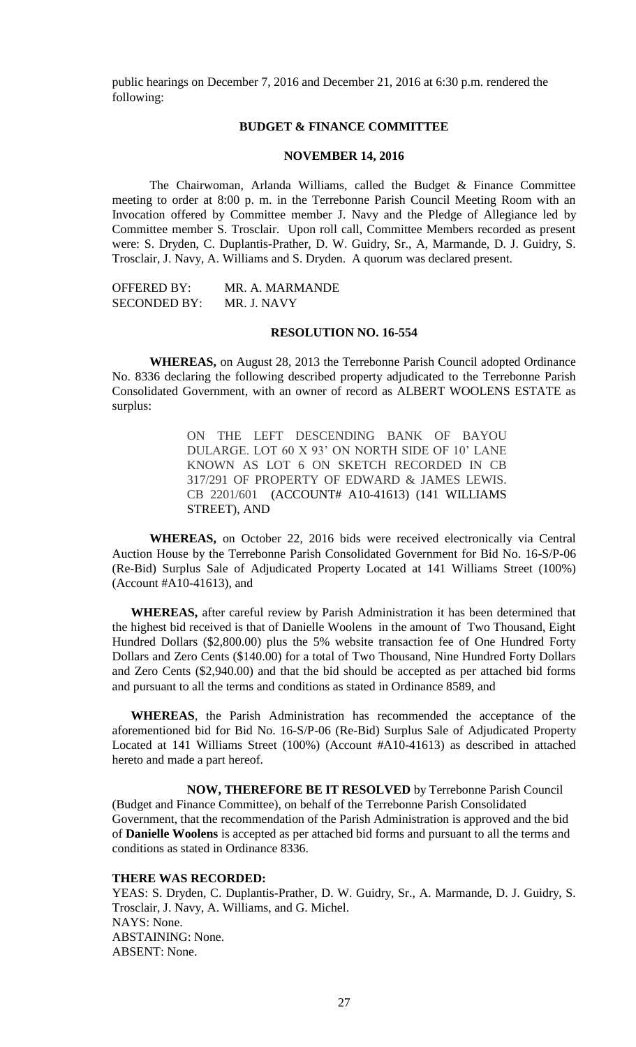public hearings on December 7, 2016 and December 21, 2016 at 6:30 p.m. rendered the following:

# **BUDGET & FINANCE COMMITTEE**

# **NOVEMBER 14, 2016**

The Chairwoman, Arlanda Williams, called the Budget & Finance Committee meeting to order at 8:00 p. m. in the Terrebonne Parish Council Meeting Room with an Invocation offered by Committee member J. Navy and the Pledge of Allegiance led by Committee member S. Trosclair. Upon roll call, Committee Members recorded as present were: S. Dryden, C. Duplantis-Prather, D. W. Guidry, Sr., A, Marmande, D. J. Guidry, S. Trosclair, J. Navy, A. Williams and S. Dryden. A quorum was declared present.

| <b>OFFERED BY:</b>  | MR. A. MARMANDE |
|---------------------|-----------------|
| <b>SECONDED BY:</b> | MR. J. NAVY     |

# **RESOLUTION NO. 16-554**

**WHEREAS,** on August 28, 2013 the Terrebonne Parish Council adopted Ordinance No. 8336 declaring the following described property adjudicated to the Terrebonne Parish Consolidated Government, with an owner of record as ALBERT WOOLENS ESTATE as surplus:

> ON THE LEFT DESCENDING BANK OF BAYOU DULARGE. LOT 60 X 93' ON NORTH SIDE OF 10' LANE KNOWN AS LOT 6 ON SKETCH RECORDED IN CB 317/291 OF PROPERTY OF EDWARD & JAMES LEWIS. CB 2201/601 (ACCOUNT# A10-41613) (141 WILLIAMS STREET), AND

**WHEREAS,** on October 22, 2016 bids were received electronically via Central Auction House by the Terrebonne Parish Consolidated Government for Bid No. 16-S/P-06 (Re-Bid) Surplus Sale of Adjudicated Property Located at 141 Williams Street (100%) (Account #A10-41613), and

**WHEREAS,** after careful review by Parish Administration it has been determined that the highest bid received is that of Danielle Woolens in the amount of Two Thousand, Eight Hundred Dollars (\$2,800.00) plus the 5% website transaction fee of One Hundred Forty Dollars and Zero Cents (\$140.00) for a total of Two Thousand, Nine Hundred Forty Dollars and Zero Cents (\$2,940.00) and that the bid should be accepted as per attached bid forms and pursuant to all the terms and conditions as stated in Ordinance 8589, and

**WHEREAS**, the Parish Administration has recommended the acceptance of the aforementioned bid for Bid No. 16-S/P-06 (Re-Bid) Surplus Sale of Adjudicated Property Located at 141 Williams Street (100%) (Account #A10-41613) as described in attached hereto and made a part hereof.

**NOW, THEREFORE BE IT RESOLVED** by Terrebonne Parish Council (Budget and Finance Committee), on behalf of the Terrebonne Parish Consolidated Government, that the recommendation of the Parish Administration is approved and the bid of **Danielle Woolens** is accepted as per attached bid forms and pursuant to all the terms and conditions as stated in Ordinance 8336.

#### **THERE WAS RECORDED:**

YEAS: S. Dryden, C. Duplantis-Prather, D. W. Guidry, Sr., A. Marmande, D. J. Guidry, S. Trosclair, J. Navy, A. Williams, and G. Michel. NAYS: None. ABSTAINING: None. ABSENT: None.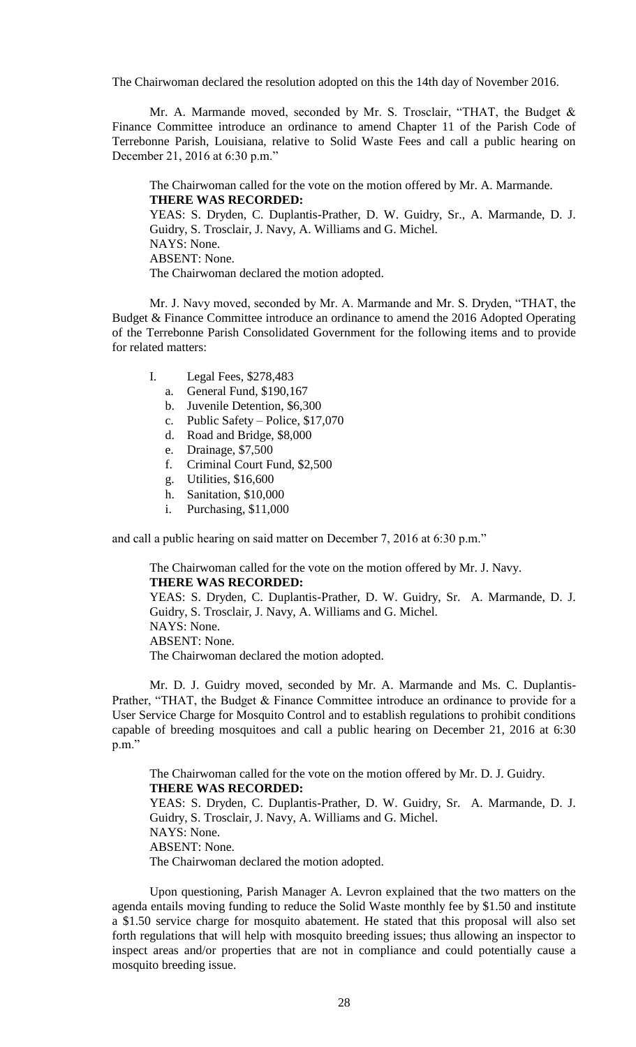The Chairwoman declared the resolution adopted on this the 14th day of November 2016.

Mr. A. Marmande moved, seconded by Mr. S. Trosclair, "THAT, the Budget & Finance Committee introduce an ordinance to amend Chapter 11 of the Parish Code of Terrebonne Parish, Louisiana, relative to Solid Waste Fees and call a public hearing on December 21, 2016 at 6:30 p.m."

The Chairwoman called for the vote on the motion offered by Mr. A. Marmande. **THERE WAS RECORDED:**

YEAS: S. Dryden, C. Duplantis-Prather, D. W. Guidry, Sr., A. Marmande, D. J. Guidry, S. Trosclair, J. Navy, A. Williams and G. Michel. NAYS: None. ABSENT: None. The Chairwoman declared the motion adopted.

Mr. J. Navy moved, seconded by Mr. A. Marmande and Mr. S. Dryden, "THAT, the Budget & Finance Committee introduce an ordinance to amend the 2016 Adopted Operating of the Terrebonne Parish Consolidated Government for the following items and to provide for related matters:

- I. Legal Fees, \$278,483
	- a. General Fund, \$190,167
	- b. Juvenile Detention, \$6,300
	- c. Public Safety Police, \$17,070
	- d. Road and Bridge, \$8,000
	- e. Drainage, \$7,500
	- f. Criminal Court Fund, \$2,500
	- g. Utilities, \$16,600
	- h. Sanitation, \$10,000
	- i. Purchasing, \$11,000

and call a public hearing on said matter on December 7, 2016 at 6:30 p.m."

The Chairwoman called for the vote on the motion offered by Mr. J. Navy. **THERE WAS RECORDED:**

YEAS: S. Dryden, C. Duplantis-Prather, D. W. Guidry, Sr. A. Marmande, D. J. Guidry, S. Trosclair, J. Navy, A. Williams and G. Michel. NAYS: None. ABSENT: None. The Chairwoman declared the motion adopted.

Mr. D. J. Guidry moved, seconded by Mr. A. Marmande and Ms. C. Duplantis-Prather, "THAT, the Budget & Finance Committee introduce an ordinance to provide for a User Service Charge for Mosquito Control and to establish regulations to prohibit conditions capable of breeding mosquitoes and call a public hearing on December 21, 2016 at 6:30 p.m."

The Chairwoman called for the vote on the motion offered by Mr. D. J. Guidry. **THERE WAS RECORDED:** YEAS: S. Dryden, C. Duplantis-Prather, D. W. Guidry, Sr. A. Marmande, D. J. Guidry, S. Trosclair, J. Navy, A. Williams and G. Michel. NAYS: None. ABSENT: None. The Chairwoman declared the motion adopted.

Upon questioning, Parish Manager A. Levron explained that the two matters on the agenda entails moving funding to reduce the Solid Waste monthly fee by \$1.50 and institute a \$1.50 service charge for mosquito abatement. He stated that this proposal will also set forth regulations that will help with mosquito breeding issues; thus allowing an inspector to inspect areas and/or properties that are not in compliance and could potentially cause a mosquito breeding issue.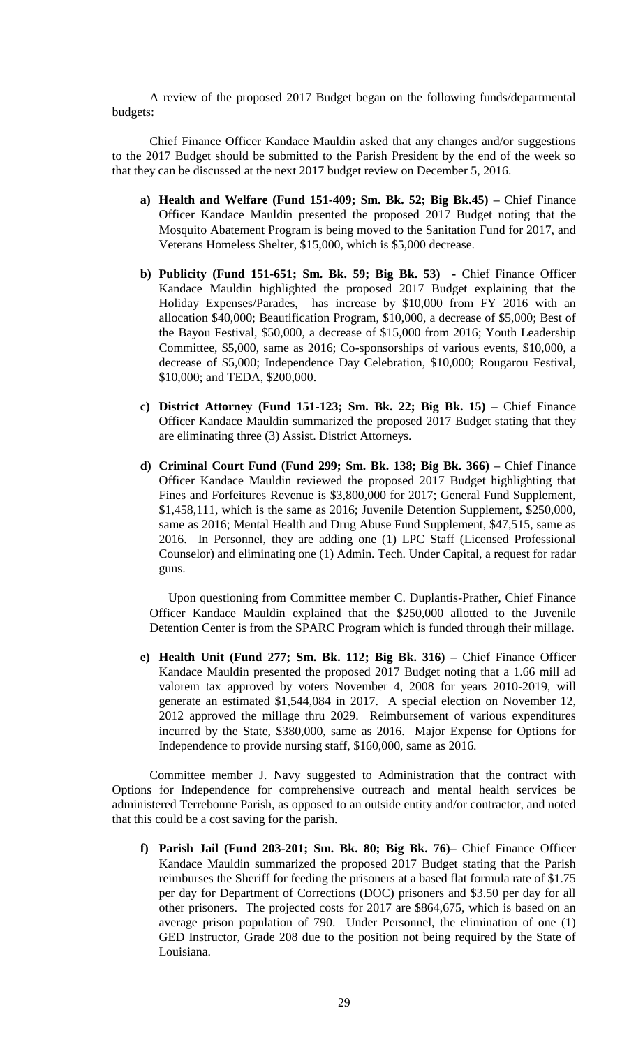A review of the proposed 2017 Budget began on the following funds/departmental budgets:

Chief Finance Officer Kandace Mauldin asked that any changes and/or suggestions to the 2017 Budget should be submitted to the Parish President by the end of the week so that they can be discussed at the next 2017 budget review on December 5, 2016.

- **a) Health and Welfare (Fund 151-409; Sm. Bk. 52; Big Bk.45) –** Chief Finance Officer Kandace Mauldin presented the proposed 2017 Budget noting that the Mosquito Abatement Program is being moved to the Sanitation Fund for 2017, and Veterans Homeless Shelter, \$15,000, which is \$5,000 decrease.
- **b) Publicity (Fund 151-651; Sm. Bk. 59; Big Bk. 53) -** Chief Finance Officer Kandace Mauldin highlighted the proposed 2017 Budget explaining that the Holiday Expenses/Parades, has increase by \$10,000 from FY 2016 with an allocation \$40,000; Beautification Program, \$10,000, a decrease of \$5,000; Best of the Bayou Festival, \$50,000, a decrease of \$15,000 from 2016; Youth Leadership Committee, \$5,000, same as 2016; Co-sponsorships of various events, \$10,000, a decrease of \$5,000; Independence Day Celebration, \$10,000; Rougarou Festival, \$10,000; and TEDA, \$200,000.
- **c) District Attorney (Fund 151-123; Sm. Bk. 22; Big Bk. 15) –** Chief Finance Officer Kandace Mauldin summarized the proposed 2017 Budget stating that they are eliminating three (3) Assist. District Attorneys.
- **d) Criminal Court Fund (Fund 299; Sm. Bk. 138; Big Bk. 366) –** Chief Finance Officer Kandace Mauldin reviewed the proposed 2017 Budget highlighting that Fines and Forfeitures Revenue is \$3,800,000 for 2017; General Fund Supplement, \$1,458,111, which is the same as 2016; Juvenile Detention Supplement, \$250,000, same as 2016; Mental Health and Drug Abuse Fund Supplement, \$47,515, same as 2016. In Personnel, they are adding one (1) LPC Staff (Licensed Professional Counselor) and eliminating one (1) Admin. Tech. Under Capital, a request for radar guns.

Upon questioning from Committee member C. Duplantis-Prather, Chief Finance Officer Kandace Mauldin explained that the \$250,000 allotted to the Juvenile Detention Center is from the SPARC Program which is funded through their millage.

**e) Health Unit (Fund 277; Sm. Bk. 112; Big Bk. 316) –** Chief Finance Officer Kandace Mauldin presented the proposed 2017 Budget noting that a 1.66 mill ad valorem tax approved by voters November 4, 2008 for years 2010-2019, will generate an estimated \$1,544,084 in 2017. A special election on November 12, 2012 approved the millage thru 2029. Reimbursement of various expenditures incurred by the State, \$380,000, same as 2016. Major Expense for Options for Independence to provide nursing staff, \$160,000, same as 2016.

Committee member J. Navy suggested to Administration that the contract with Options for Independence for comprehensive outreach and mental health services be administered Terrebonne Parish, as opposed to an outside entity and/or contractor, and noted that this could be a cost saving for the parish.

**f) Parish Jail (Fund 203-201; Sm. Bk. 80; Big Bk. 76)–** Chief Finance Officer Kandace Mauldin summarized the proposed 2017 Budget stating that the Parish reimburses the Sheriff for feeding the prisoners at a based flat formula rate of \$1.75 per day for Department of Corrections (DOC) prisoners and \$3.50 per day for all other prisoners. The projected costs for 2017 are \$864,675, which is based on an average prison population of 790. Under Personnel, the elimination of one (1) GED Instructor, Grade 208 due to the position not being required by the State of Louisiana.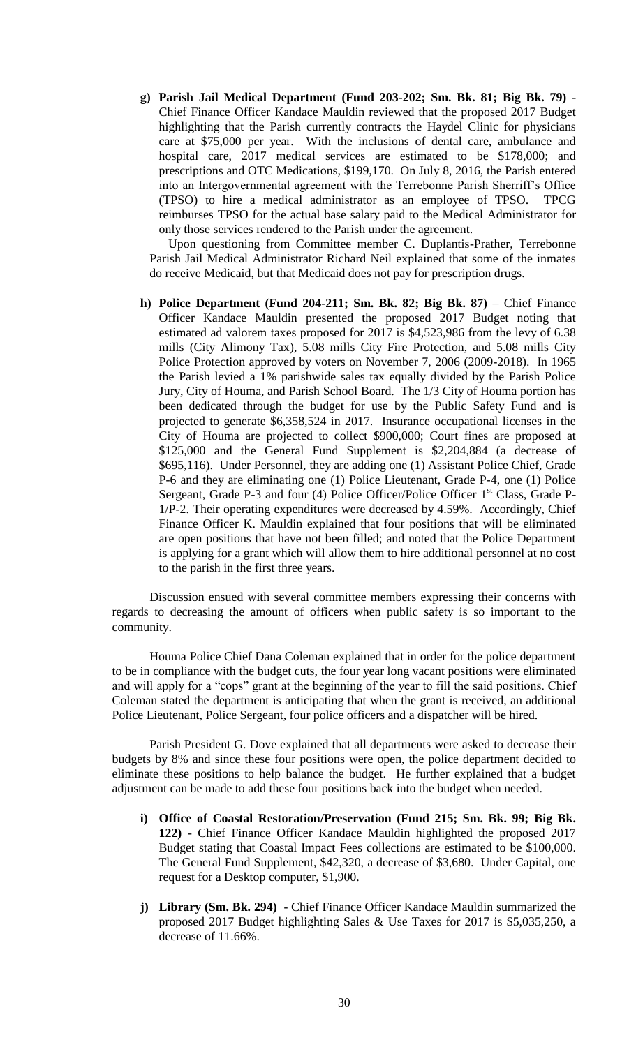**g) Parish Jail Medical Department (Fund 203-202; Sm. Bk. 81; Big Bk. 79) -** Chief Finance Officer Kandace Mauldin reviewed that the proposed 2017 Budget highlighting that the Parish currently contracts the Haydel Clinic for physicians care at \$75,000 per year. With the inclusions of dental care, ambulance and hospital care, 2017 medical services are estimated to be \$178,000; and prescriptions and OTC Medications, \$199,170. On July 8, 2016, the Parish entered into an Intergovernmental agreement with the Terrebonne Parish Sherriff's Office (TPSO) to hire a medical administrator as an employee of TPSO. TPCG reimburses TPSO for the actual base salary paid to the Medical Administrator for only those services rendered to the Parish under the agreement.

Upon questioning from Committee member C. Duplantis-Prather, Terrebonne Parish Jail Medical Administrator Richard Neil explained that some of the inmates do receive Medicaid, but that Medicaid does not pay for prescription drugs.

**h) Police Department (Fund 204-211; Sm. Bk. 82; Big Bk. 87)** – Chief Finance Officer Kandace Mauldin presented the proposed 2017 Budget noting that estimated ad valorem taxes proposed for 2017 is \$4,523,986 from the levy of 6.38 mills (City Alimony Tax), 5.08 mills City Fire Protection, and 5.08 mills City Police Protection approved by voters on November 7, 2006 (2009-2018). In 1965 the Parish levied a 1% parishwide sales tax equally divided by the Parish Police Jury, City of Houma, and Parish School Board. The 1/3 City of Houma portion has been dedicated through the budget for use by the Public Safety Fund and is projected to generate \$6,358,524 in 2017. Insurance occupational licenses in the City of Houma are projected to collect \$900,000; Court fines are proposed at \$125,000 and the General Fund Supplement is \$2,204,884 (a decrease of \$695,116). Under Personnel, they are adding one (1) Assistant Police Chief, Grade P-6 and they are eliminating one (1) Police Lieutenant, Grade P-4, one (1) Police Sergeant, Grade P-3 and four (4) Police Officer/Police Officer 1<sup>st</sup> Class, Grade P-1/P-2. Their operating expenditures were decreased by 4.59%. Accordingly, Chief Finance Officer K. Mauldin explained that four positions that will be eliminated are open positions that have not been filled; and noted that the Police Department is applying for a grant which will allow them to hire additional personnel at no cost to the parish in the first three years.

Discussion ensued with several committee members expressing their concerns with regards to decreasing the amount of officers when public safety is so important to the community.

Houma Police Chief Dana Coleman explained that in order for the police department to be in compliance with the budget cuts, the four year long vacant positions were eliminated and will apply for a "cops" grant at the beginning of the year to fill the said positions. Chief Coleman stated the department is anticipating that when the grant is received, an additional Police Lieutenant, Police Sergeant, four police officers and a dispatcher will be hired.

Parish President G. Dove explained that all departments were asked to decrease their budgets by 8% and since these four positions were open, the police department decided to eliminate these positions to help balance the budget. He further explained that a budget adjustment can be made to add these four positions back into the budget when needed.

- **i) Office of Coastal Restoration/Preservation (Fund 215; Sm. Bk. 99; Big Bk. 122)** - Chief Finance Officer Kandace Mauldin highlighted the proposed 2017 Budget stating that Coastal Impact Fees collections are estimated to be \$100,000. The General Fund Supplement, \$42,320, a decrease of \$3,680. Under Capital, one request for a Desktop computer, \$1,900.
- **j) Library (Sm. Bk. 294)**  Chief Finance Officer Kandace Mauldin summarized the proposed 2017 Budget highlighting Sales & Use Taxes for 2017 is \$5,035,250, a decrease of 11.66%.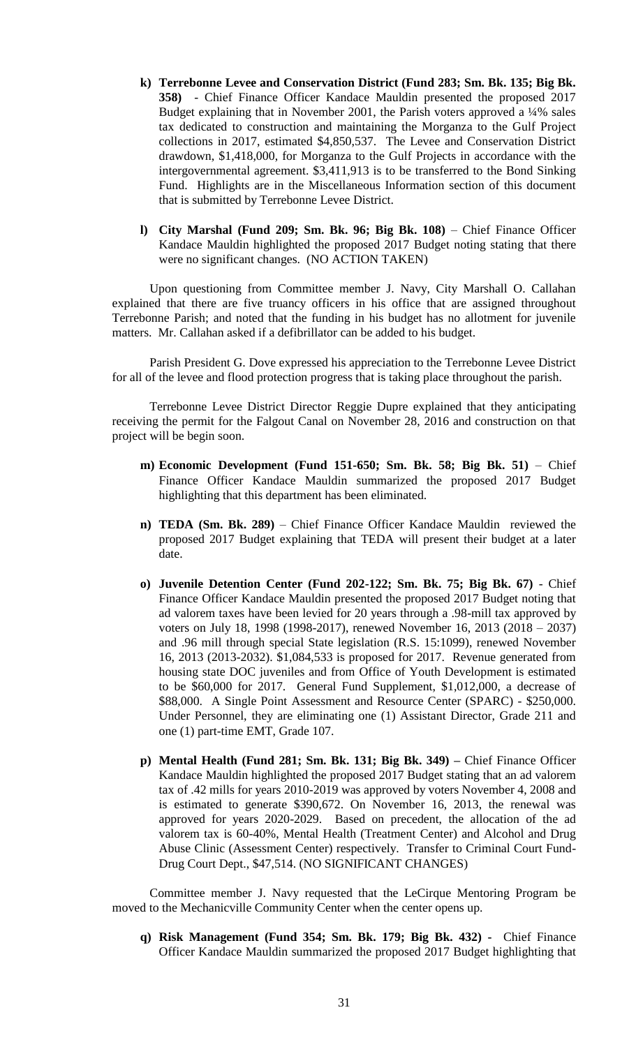- **k) Terrebonne Levee and Conservation District (Fund 283; Sm. Bk. 135; Big Bk. 358)** - Chief Finance Officer Kandace Mauldin presented the proposed 2017 Budget explaining that in November 2001, the Parish voters approved a  $\frac{1}{4}\%$  sales tax dedicated to construction and maintaining the Morganza to the Gulf Project collections in 2017, estimated \$4,850,537. The Levee and Conservation District drawdown, \$1,418,000, for Morganza to the Gulf Projects in accordance with the intergovernmental agreement. \$3,411,913 is to be transferred to the Bond Sinking Fund. Highlights are in the Miscellaneous Information section of this document that is submitted by Terrebonne Levee District.
- **l) City Marshal (Fund 209; Sm. Bk. 96; Big Bk. 108)** Chief Finance Officer Kandace Mauldin highlighted the proposed 2017 Budget noting stating that there were no significant changes. (NO ACTION TAKEN)

Upon questioning from Committee member J. Navy, City Marshall O. Callahan explained that there are five truancy officers in his office that are assigned throughout Terrebonne Parish; and noted that the funding in his budget has no allotment for juvenile matters. Mr. Callahan asked if a defibrillator can be added to his budget.

Parish President G. Dove expressed his appreciation to the Terrebonne Levee District for all of the levee and flood protection progress that is taking place throughout the parish.

Terrebonne Levee District Director Reggie Dupre explained that they anticipating receiving the permit for the Falgout Canal on November 28, 2016 and construction on that project will be begin soon.

- **m) Economic Development (Fund 151-650; Sm. Bk. 58; Big Bk. 51)** Chief Finance Officer Kandace Mauldin summarized the proposed 2017 Budget highlighting that this department has been eliminated.
- **n) TEDA (Sm. Bk. 289)** Chief Finance Officer Kandace Mauldin reviewed the proposed 2017 Budget explaining that TEDA will present their budget at a later date.
- **o) Juvenile Detention Center (Fund 202-122; Sm. Bk. 75; Big Bk. 67)**  Chief Finance Officer Kandace Mauldin presented the proposed 2017 Budget noting that ad valorem taxes have been levied for 20 years through a .98-mill tax approved by voters on July 18, 1998 (1998-2017), renewed November 16, 2013 (2018 – 2037) and .96 mill through special State legislation (R.S. 15:1099), renewed November 16, 2013 (2013-2032). \$1,084,533 is proposed for 2017. Revenue generated from housing state DOC juveniles and from Office of Youth Development is estimated to be \$60,000 for 2017. General Fund Supplement, \$1,012,000, a decrease of \$88,000. A Single Point Assessment and Resource Center (SPARC) - \$250,000. Under Personnel, they are eliminating one (1) Assistant Director, Grade 211 and one (1) part-time EMT, Grade 107.
- **p) Mental Health (Fund 281; Sm. Bk. 131; Big Bk. 349) –** Chief Finance Officer Kandace Mauldin highlighted the proposed 2017 Budget stating that an ad valorem tax of .42 mills for years 2010-2019 was approved by voters November 4, 2008 and is estimated to generate \$390,672. On November 16, 2013, the renewal was approved for years 2020-2029. Based on precedent, the allocation of the ad valorem tax is 60-40%, Mental Health (Treatment Center) and Alcohol and Drug Abuse Clinic (Assessment Center) respectively. Transfer to Criminal Court Fund-Drug Court Dept., \$47,514. (NO SIGNIFICANT CHANGES)

Committee member J. Navy requested that the LeCirque Mentoring Program be moved to the Mechanicville Community Center when the center opens up.

**q) Risk Management (Fund 354; Sm. Bk. 179; Big Bk. 432) -** Chief Finance Officer Kandace Mauldin summarized the proposed 2017 Budget highlighting that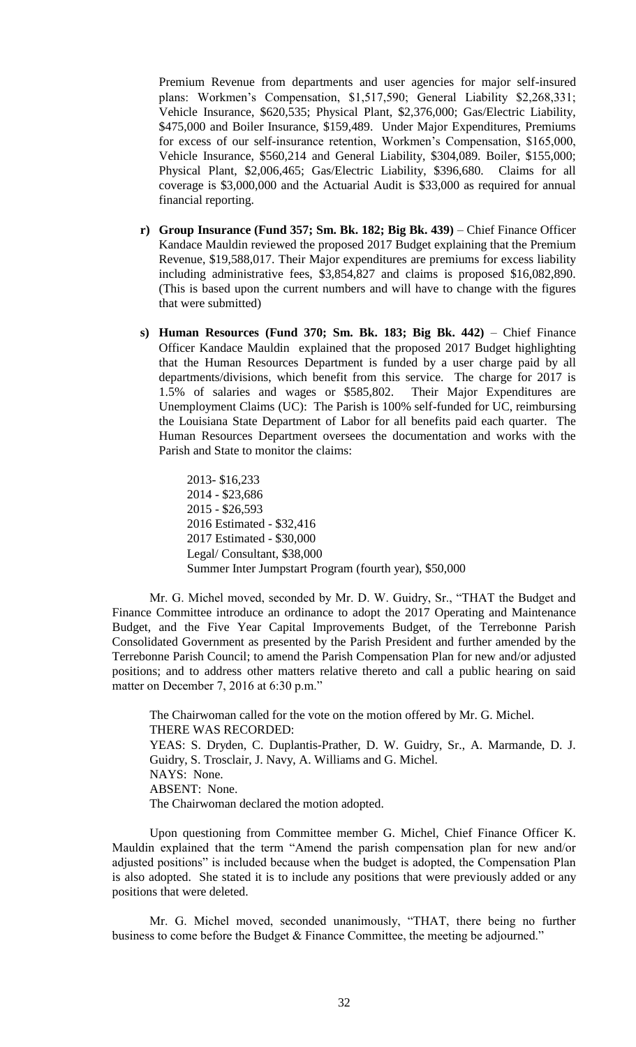Premium Revenue from departments and user agencies for major self-insured plans: Workmen's Compensation, \$1,517,590; General Liability \$2,268,331; Vehicle Insurance, \$620,535; Physical Plant, \$2,376,000; Gas/Electric Liability, \$475,000 and Boiler Insurance, \$159,489. Under Major Expenditures, Premiums for excess of our self-insurance retention, Workmen's Compensation, \$165,000, Vehicle Insurance, \$560,214 and General Liability, \$304,089. Boiler, \$155,000; Physical Plant, \$2,006,465; Gas/Electric Liability, \$396,680. Claims for all coverage is \$3,000,000 and the Actuarial Audit is \$33,000 as required for annual financial reporting.

- **r) Group Insurance (Fund 357; Sm. Bk. 182; Big Bk. 439)** Chief Finance Officer Kandace Mauldin reviewed the proposed 2017 Budget explaining that the Premium Revenue, \$19,588,017. Their Major expenditures are premiums for excess liability including administrative fees, \$3,854,827 and claims is proposed \$16,082,890. (This is based upon the current numbers and will have to change with the figures that were submitted)
- **s) Human Resources (Fund 370; Sm. Bk. 183; Big Bk. 442)** Chief Finance Officer Kandace Mauldin explained that the proposed 2017 Budget highlighting that the Human Resources Department is funded by a user charge paid by all departments/divisions, which benefit from this service. The charge for 2017 is 1.5% of salaries and wages or \$585,802. Their Major Expenditures are Unemployment Claims (UC): The Parish is 100% self-funded for UC, reimbursing the Louisiana State Department of Labor for all benefits paid each quarter. The Human Resources Department oversees the documentation and works with the Parish and State to monitor the claims:

2013- \$16,233 2014 - \$23,686 2015 - \$26,593 2016 Estimated - \$32,416 2017 Estimated - \$30,000 Legal/ Consultant, \$38,000 Summer Inter Jumpstart Program (fourth year), \$50,000

Mr. G. Michel moved, seconded by Mr. D. W. Guidry, Sr., "THAT the Budget and Finance Committee introduce an ordinance to adopt the 2017 Operating and Maintenance Budget, and the Five Year Capital Improvements Budget, of the Terrebonne Parish Consolidated Government as presented by the Parish President and further amended by the Terrebonne Parish Council; to amend the Parish Compensation Plan for new and/or adjusted positions; and to address other matters relative thereto and call a public hearing on said matter on December 7, 2016 at 6:30 p.m."

The Chairwoman called for the vote on the motion offered by Mr. G. Michel. THERE WAS RECORDED: YEAS: S. Dryden, C. Duplantis-Prather, D. W. Guidry, Sr., A. Marmande, D. J. Guidry, S. Trosclair, J. Navy, A. Williams and G. Michel. NAYS: None. ABSENT: None. The Chairwoman declared the motion adopted.

Upon questioning from Committee member G. Michel, Chief Finance Officer K. Mauldin explained that the term "Amend the parish compensation plan for new and/or adjusted positions" is included because when the budget is adopted, the Compensation Plan is also adopted. She stated it is to include any positions that were previously added or any positions that were deleted.

Mr. G. Michel moved, seconded unanimously, "THAT, there being no further business to come before the Budget & Finance Committee, the meeting be adjourned."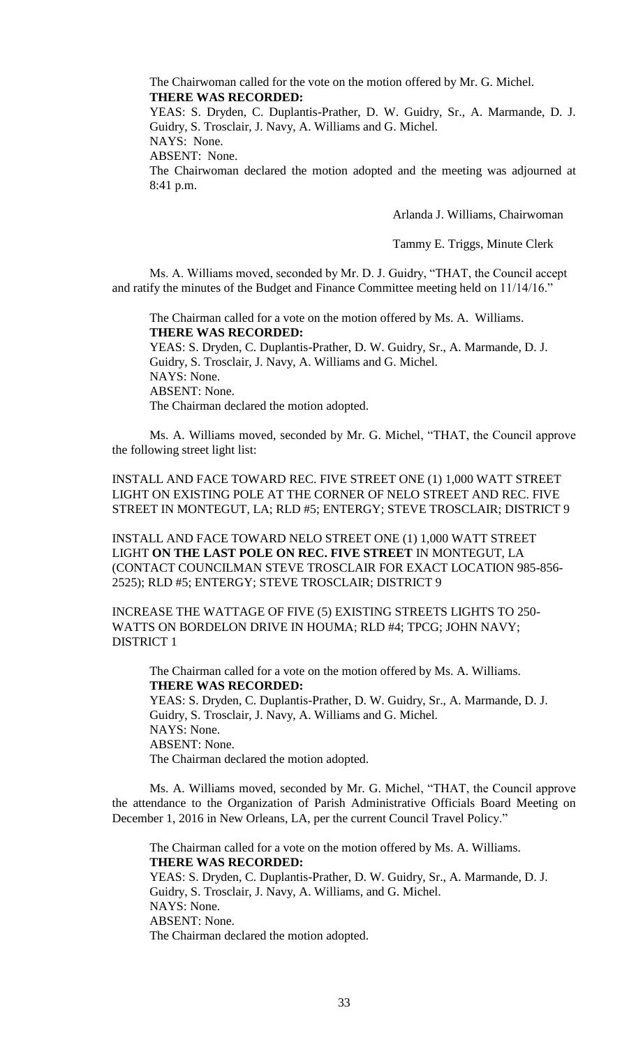The Chairwoman called for the vote on the motion offered by Mr. G. Michel. **THERE WAS RECORDED:**

YEAS: S. Dryden, C. Duplantis-Prather, D. W. Guidry, Sr., A. Marmande, D. J. Guidry, S. Trosclair, J. Navy, A. Williams and G. Michel.

NAYS: None.

ABSENT: None.

The Chairwoman declared the motion adopted and the meeting was adjourned at 8:41 p.m.

Arlanda J. Williams, Chairwoman

Tammy E. Triggs, Minute Clerk

Ms. A. Williams moved, seconded by Mr. D. J. Guidry, "THAT, the Council accept and ratify the minutes of the Budget and Finance Committee meeting held on 11/14/16."

The Chairman called for a vote on the motion offered by Ms. A. Williams. **THERE WAS RECORDED:**

YEAS: S. Dryden, C. Duplantis-Prather, D. W. Guidry, Sr., A. Marmande, D. J. Guidry, S. Trosclair, J. Navy, A. Williams and G. Michel. NAYS: None. ABSENT: None. The Chairman declared the motion adopted.

Ms. A. Williams moved, seconded by Mr. G. Michel, "THAT, the Council approve the following street light list:

INSTALL AND FACE TOWARD REC. FIVE STREET ONE (1) 1,000 WATT STREET LIGHT ON EXISTING POLE AT THE CORNER OF NELO STREET AND REC. FIVE STREET IN MONTEGUT, LA; RLD #5; ENTERGY; STEVE TROSCLAIR; DISTRICT 9

INSTALL AND FACE TOWARD NELO STREET ONE (1) 1,000 WATT STREET LIGHT **ON THE LAST POLE ON REC. FIVE STREET** IN MONTEGUT, LA (CONTACT COUNCILMAN STEVE TROSCLAIR FOR EXACT LOCATION 985-856- 2525); RLD #5; ENTERGY; STEVE TROSCLAIR; DISTRICT 9

INCREASE THE WATTAGE OF FIVE (5) EXISTING STREETS LIGHTS TO 250- WATTS ON BORDELON DRIVE IN HOUMA; RLD #4; TPCG; JOHN NAVY; DISTRICT 1

The Chairman called for a vote on the motion offered by Ms. A. Williams. **THERE WAS RECORDED:** YEAS: S. Dryden, C. Duplantis-Prather, D. W. Guidry, Sr., A. Marmande, D. J. Guidry, S. Trosclair, J. Navy, A. Williams and G. Michel. NAYS: None.

ABSENT: None.

The Chairman declared the motion adopted.

Ms. A. Williams moved, seconded by Mr. G. Michel, "THAT, the Council approve the attendance to the Organization of Parish Administrative Officials Board Meeting on December 1, 2016 in New Orleans, LA, per the current Council Travel Policy."

The Chairman called for a vote on the motion offered by Ms. A. Williams. **THERE WAS RECORDED:** YEAS: S. Dryden, C. Duplantis-Prather, D. W. Guidry, Sr., A. Marmande, D. J. Guidry, S. Trosclair, J. Navy, A. Williams, and G. Michel. NAYS: None. ABSENT: None. The Chairman declared the motion adopted.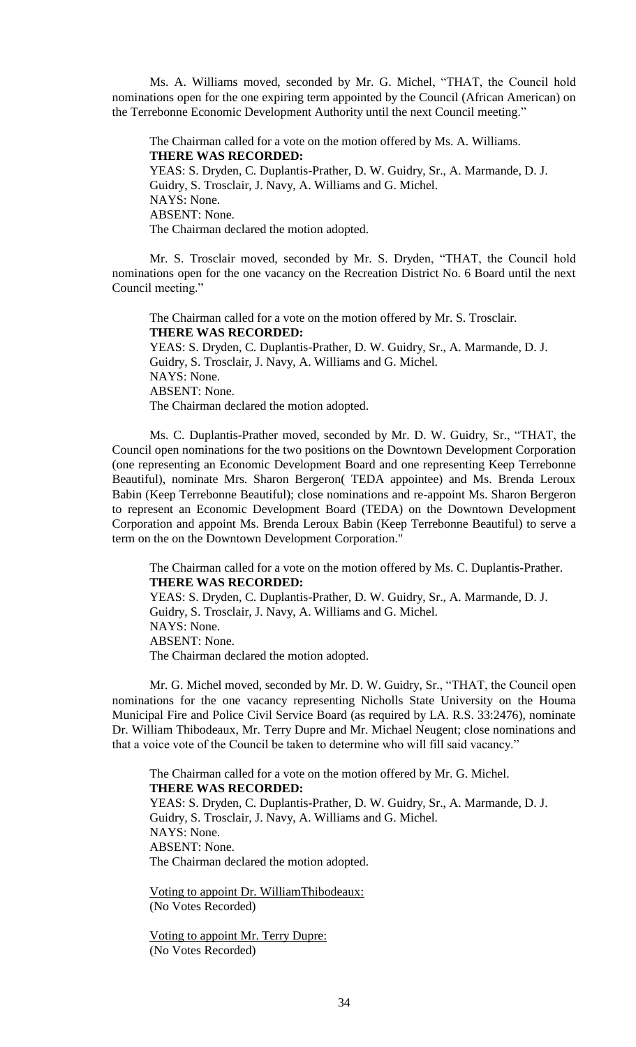Ms. A. Williams moved, seconded by Mr. G. Michel, "THAT, the Council hold nominations open for the one expiring term appointed by the Council (African American) on the Terrebonne Economic Development Authority until the next Council meeting."

The Chairman called for a vote on the motion offered by Ms. A. Williams. **THERE WAS RECORDED:** YEAS: S. Dryden, C. Duplantis-Prather, D. W. Guidry, Sr., A. Marmande, D. J. Guidry, S. Trosclair, J. Navy, A. Williams and G. Michel. NAYS: None. ABSENT: None. The Chairman declared the motion adopted.

Mr. S. Trosclair moved, seconded by Mr. S. Dryden, "THAT, the Council hold nominations open for the one vacancy on the Recreation District No. 6 Board until the next Council meeting."

The Chairman called for a vote on the motion offered by Mr. S. Trosclair. **THERE WAS RECORDED:** YEAS: S. Dryden, C. Duplantis-Prather, D. W. Guidry, Sr., A. Marmande, D. J. Guidry, S. Trosclair, J. Navy, A. Williams and G. Michel. NAYS: None. ABSENT: None. The Chairman declared the motion adopted.

Ms. C. Duplantis-Prather moved, seconded by Mr. D. W. Guidry, Sr., "THAT, the Council open nominations for the two positions on the Downtown Development Corporation (one representing an Economic Development Board and one representing Keep Terrebonne Beautiful), nominate Mrs. Sharon Bergeron( TEDA appointee) and Ms. Brenda Leroux Babin (Keep Terrebonne Beautiful); close nominations and re-appoint Ms. Sharon Bergeron to represent an Economic Development Board (TEDA) on the Downtown Development Corporation and appoint Ms. Brenda Leroux Babin (Keep Terrebonne Beautiful) to serve a term on the on the Downtown Development Corporation."

The Chairman called for a vote on the motion offered by Ms. C. Duplantis-Prather. **THERE WAS RECORDED:**

YEAS: S. Dryden, C. Duplantis-Prather, D. W. Guidry, Sr., A. Marmande, D. J. Guidry, S. Trosclair, J. Navy, A. Williams and G. Michel. NAYS: None. ABSENT: None. The Chairman declared the motion adopted.

Mr. G. Michel moved, seconded by Mr. D. W. Guidry, Sr., "THAT, the Council open nominations for the one vacancy representing Nicholls State University on the Houma Municipal Fire and Police Civil Service Board (as required by LA. R.S. 33:2476), nominate Dr. William Thibodeaux, Mr. Terry Dupre and Mr. Michael Neugent; close nominations and that a voice vote of the Council be taken to determine who will fill said vacancy."

The Chairman called for a vote on the motion offered by Mr. G. Michel. **THERE WAS RECORDED:** YEAS: S. Dryden, C. Duplantis-Prather, D. W. Guidry, Sr., A. Marmande, D. J. Guidry, S. Trosclair, J. Navy, A. Williams and G. Michel. NAYS: None. ABSENT: None. The Chairman declared the motion adopted.

Voting to appoint Dr. WilliamThibodeaux: (No Votes Recorded)

Voting to appoint Mr. Terry Dupre: (No Votes Recorded)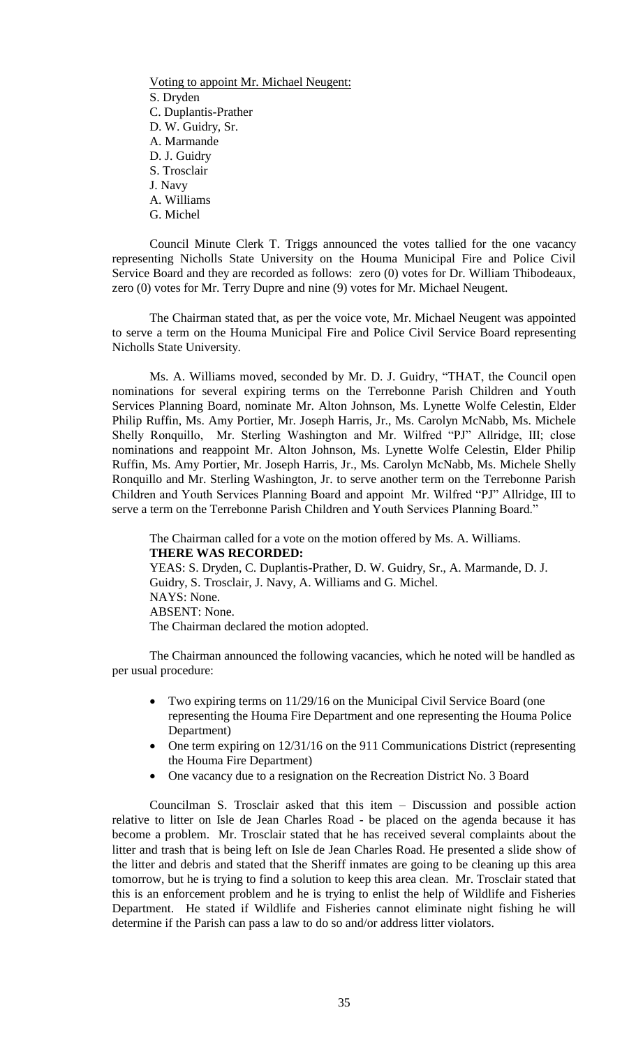Voting to appoint Mr. Michael Neugent: S. Dryden C. Duplantis-Prather D. W. Guidry, Sr. A. Marmande D. J. Guidry S. Trosclair J. Navy A. Williams G. Michel

Council Minute Clerk T. Triggs announced the votes tallied for the one vacancy representing Nicholls State University on the Houma Municipal Fire and Police Civil Service Board and they are recorded as follows: zero (0) votes for Dr. William Thibodeaux, zero (0) votes for Mr. Terry Dupre and nine (9) votes for Mr. Michael Neugent.

The Chairman stated that, as per the voice vote, Mr. Michael Neugent was appointed to serve a term on the Houma Municipal Fire and Police Civil Service Board representing Nicholls State University.

Ms. A. Williams moved, seconded by Mr. D. J. Guidry, "THAT, the Council open nominations for several expiring terms on the Terrebonne Parish Children and Youth Services Planning Board, nominate Mr. Alton Johnson, Ms. Lynette Wolfe Celestin, Elder Philip Ruffin, Ms. Amy Portier, Mr. Joseph Harris, Jr., Ms. Carolyn McNabb, Ms. Michele Shelly Ronquillo, Mr. Sterling Washington and Mr. Wilfred "PJ" Allridge, III; close nominations and reappoint Mr. Alton Johnson, Ms. Lynette Wolfe Celestin, Elder Philip Ruffin, Ms. Amy Portier, Mr. Joseph Harris, Jr., Ms. Carolyn McNabb, Ms. Michele Shelly Ronquillo and Mr. Sterling Washington, Jr. to serve another term on the Terrebonne Parish Children and Youth Services Planning Board and appoint Mr. Wilfred "PJ" Allridge, III to serve a term on the Terrebonne Parish Children and Youth Services Planning Board."

The Chairman called for a vote on the motion offered by Ms. A. Williams. **THERE WAS RECORDED:** YEAS: S. Dryden, C. Duplantis-Prather, D. W. Guidry, Sr., A. Marmande, D. J. Guidry, S. Trosclair, J. Navy, A. Williams and G. Michel. NAYS: None. ABSENT: None. The Chairman declared the motion adopted.

The Chairman announced the following vacancies, which he noted will be handled as per usual procedure:

- Two expiring terms on 11/29/16 on the Municipal Civil Service Board (one representing the Houma Fire Department and one representing the Houma Police Department)
- One term expiring on 12/31/16 on the 911 Communications District (representing the Houma Fire Department)
- One vacancy due to a resignation on the Recreation District No. 3 Board

Councilman S. Trosclair asked that this item – Discussion and possible action relative to litter on Isle de Jean Charles Road - be placed on the agenda because it has become a problem. Mr. Trosclair stated that he has received several complaints about the litter and trash that is being left on Isle de Jean Charles Road. He presented a slide show of the litter and debris and stated that the Sheriff inmates are going to be cleaning up this area tomorrow, but he is trying to find a solution to keep this area clean. Mr. Trosclair stated that this is an enforcement problem and he is trying to enlist the help of Wildlife and Fisheries Department. He stated if Wildlife and Fisheries cannot eliminate night fishing he will determine if the Parish can pass a law to do so and/or address litter violators.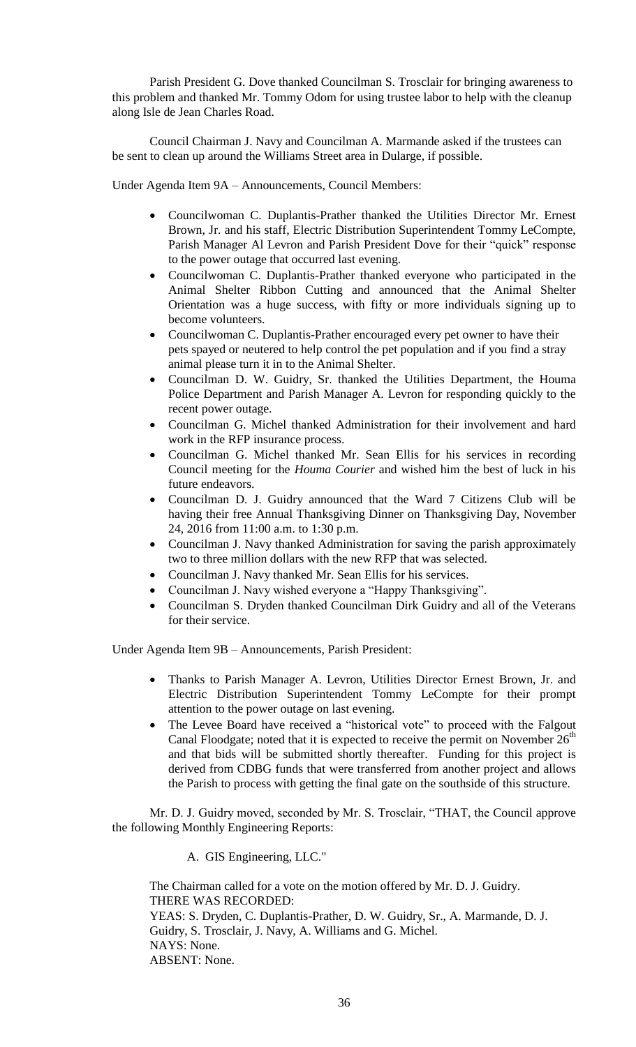Parish President G. Dove thanked Councilman S. Trosclair for bringing awareness to this problem and thanked Mr. Tommy Odom for using trustee labor to help with the cleanup along Isle de Jean Charles Road.

Council Chairman J. Navy and Councilman A. Marmande asked if the trustees can be sent to clean up around the Williams Street area in Dularge, if possible.

Under Agenda Item 9A – Announcements, Council Members:

- Councilwoman C. Duplantis-Prather thanked the Utilities Director Mr. Ernest Brown, Jr. and his staff, Electric Distribution Superintendent Tommy LeCompte, Parish Manager Al Levron and Parish President Dove for their "quick" response to the power outage that occurred last evening.
- Councilwoman C. Duplantis-Prather thanked everyone who participated in the Animal Shelter Ribbon Cutting and announced that the Animal Shelter Orientation was a huge success, with fifty or more individuals signing up to become volunteers.
- Councilwoman C. Duplantis-Prather encouraged every pet owner to have their pets spayed or neutered to help control the pet population and if you find a stray animal please turn it in to the Animal Shelter.
- Councilman D. W. Guidry, Sr. thanked the Utilities Department, the Houma Police Department and Parish Manager A. Levron for responding quickly to the recent power outage.
- Councilman G. Michel thanked Administration for their involvement and hard work in the RFP insurance process.
- Councilman G. Michel thanked Mr. Sean Ellis for his services in recording Council meeting for the *Houma Courier* and wished him the best of luck in his future endeavors.
- Councilman D. J. Guidry announced that the Ward 7 Citizens Club will be having their free Annual Thanksgiving Dinner on Thanksgiving Day, November 24, 2016 from 11:00 a.m. to 1:30 p.m.
- Councilman J. Navy thanked Administration for saving the parish approximately two to three million dollars with the new RFP that was selected.
- Councilman J. Navy thanked Mr. Sean Ellis for his services.
- Councilman J. Navy wished everyone a "Happy Thanksgiving".
- Councilman S. Dryden thanked Councilman Dirk Guidry and all of the Veterans for their service.

Under Agenda Item 9B – Announcements, Parish President:

- Thanks to Parish Manager A. Levron, Utilities Director Ernest Brown, Jr. and Electric Distribution Superintendent Tommy LeCompte for their prompt attention to the power outage on last evening.
- The Levee Board have received a "historical vote" to proceed with the Falgout Canal Floodgate; noted that it is expected to receive the permit on November  $26<sup>th</sup>$ and that bids will be submitted shortly thereafter. Funding for this project is derived from CDBG funds that were transferred from another project and allows the Parish to process with getting the final gate on the southside of this structure.

Mr. D. J. Guidry moved, seconded by Mr. S. Trosclair, "THAT, the Council approve the following Monthly Engineering Reports:

A. GIS Engineering, LLC."

The Chairman called for a vote on the motion offered by Mr. D. J. Guidry. THERE WAS RECORDED: YEAS: S. Dryden, C. Duplantis-Prather, D. W. Guidry, Sr., A. Marmande, D. J. Guidry, S. Trosclair, J. Navy, A. Williams and G. Michel. NAYS: None. ABSENT: None.